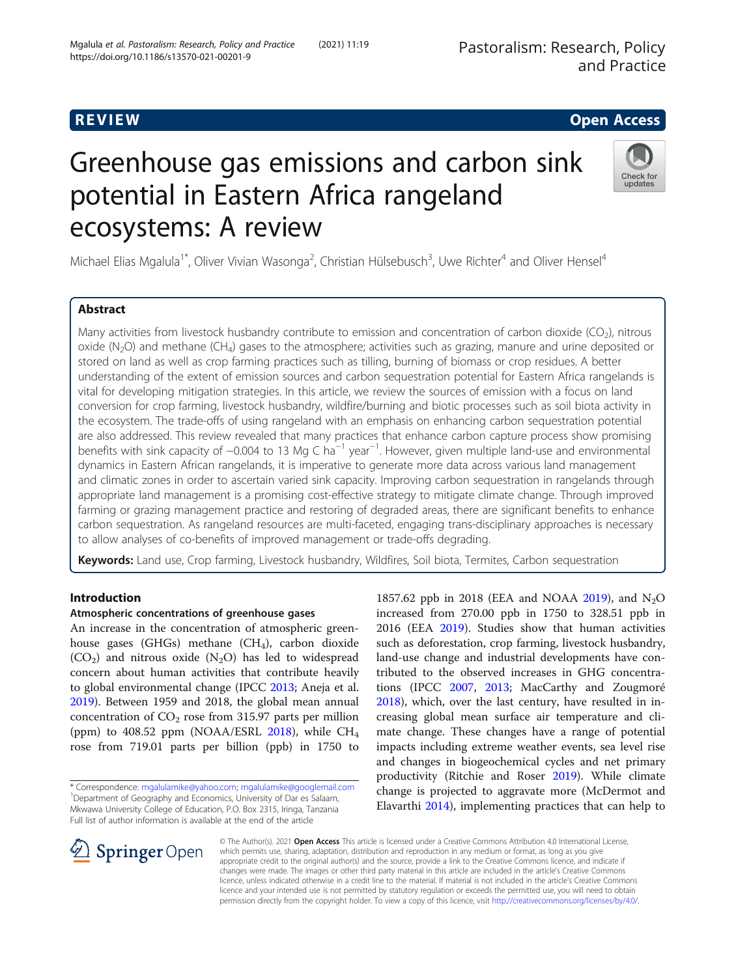## R EVI EW Open Access

# Greenhouse gas emissions and carbon sink potential in Eastern Africa rangeland ecosystems: A review

Michael Elias Mgalula<sup>1\*</sup>, Oliver Vivian Wasonga<sup>2</sup>, Christian Hülsebusch<sup>3</sup>, Uwe Richter<sup>4</sup> and Oliver Hensel<sup>4</sup>

#### Abstract

Many activities from livestock husbandry contribute to emission and concentration of carbon dioxide (CO<sub>2</sub>), nitrous oxide (N<sub>2</sub>O) and methane (CH<sub>4</sub>) gases to the atmosphere; activities such as grazing, manure and urine deposited or stored on land as well as crop farming practices such as tilling, burning of biomass or crop residues. A better understanding of the extent of emission sources and carbon sequestration potential for Eastern Africa rangelands is vital for developing mitigation strategies. In this article, we review the sources of emission with a focus on land conversion for crop farming, livestock husbandry, wildfire/burning and biotic processes such as soil biota activity in the ecosystem. The trade-offs of using rangeland with an emphasis on enhancing carbon sequestration potential are also addressed. This review revealed that many practices that enhance carbon capture process show promising benefits with sink capacity of -0.004 to 13 Mg C ha<sup>-1</sup> year<sup>-1</sup>. However, given multiple land-use and environmental dynamics in Eastern African rangelands, it is imperative to generate more data across various land management and climatic zones in order to ascertain varied sink capacity. Improving carbon sequestration in rangelands through appropriate land management is a promising cost-effective strategy to mitigate climate change. Through improved farming or grazing management practice and restoring of degraded areas, there are significant benefits to enhance carbon sequestration. As rangeland resources are multi-faceted, engaging trans-disciplinary approaches is necessary to allow analyses of co-benefits of improved management or trade-offs degrading.

Keywords: Land use, Crop farming, Livestock husbandry, Wildfires, Soil biota, Termites, Carbon sequestration

#### Introduction

#### Atmospheric concentrations of greenhouse gases

An increase in the concentration of atmospheric greenhouse gases (GHGs) methane (CH<sub>4</sub>), carbon dioxide  $(CO<sub>2</sub>)$  and nitrous oxide  $(N<sub>2</sub>O)$  has led to widespread concern about human activities that contribute heavily to global environmental change (IPCC [2013](#page-13-0); Aneja et al. [2019](#page-11-0)). Between 1959 and 2018, the global mean annual concentration of  $CO<sub>2</sub>$  rose from 315.97 parts per million (ppm) to 408.52 ppm (NOAA/ESRL [2018](#page-14-0)), while  $CH_4$ rose from 719.01 parts per billion (ppb) in 1750 to

2016 (EEA [2019\)](#page-12-0). Studies show that human activities such as deforestation, crop farming, livestock husbandry, land-use change and industrial developments have contributed to the observed increases in GHG concentrations (IPCC [2007,](#page-13-0) [2013](#page-13-0); MacCarthy and Zougmoré [2018](#page-13-0)), which, over the last century, have resulted in increasing global mean surface air temperature and climate change. These changes have a range of potential impacts including extreme weather events, sea level rise and changes in biogeochemical cycles and net primary productivity (Ritchie and Roser [2019\)](#page-15-0). While climate change is projected to aggravate more (McDermot and Elavarthi [2014\)](#page-14-0), implementing practices that can help to

1857.62 ppb in 2018 (EEA and NOAA [2019\)](#page-12-0), and  $N_2O$ increased from 270.00 ppb in 1750 to 328.51 ppb in

© The Author(s). 2021 Open Access This article is licensed under a Creative Commons Attribution 4.0 International License, which permits use, sharing, adaptation, distribution and reproduction in any medium or format, as long as you give appropriate credit to the original author(s) and the source, provide a link to the Creative Commons licence, and indicate if changes were made. The images or other third party material in this article are included in the article's Creative Commons licence, unless indicated otherwise in a credit line to the material. If material is not included in the article's Creative Commons licence and your intended use is not permitted by statutory regulation or exceeds the permitted use, you will need to obtain permission directly from the copyright holder. To view a copy of this licence, visit <http://creativecommons.org/licenses/by/4.0/>.







<sup>\*</sup> Correspondence: [mgalulamike@yahoo.com](mailto:mgalulamike@yahoo.com); [mgalulamike@googlemail.com](mailto:mgalulamike@googlemail.com) <sup>1</sup> <sup>1</sup> Department of Geography and Economics, University of Dar es Salaam, Mkwawa University College of Education, P.O. Box 2315, Iringa, Tanzania Full list of author information is available at the end of the article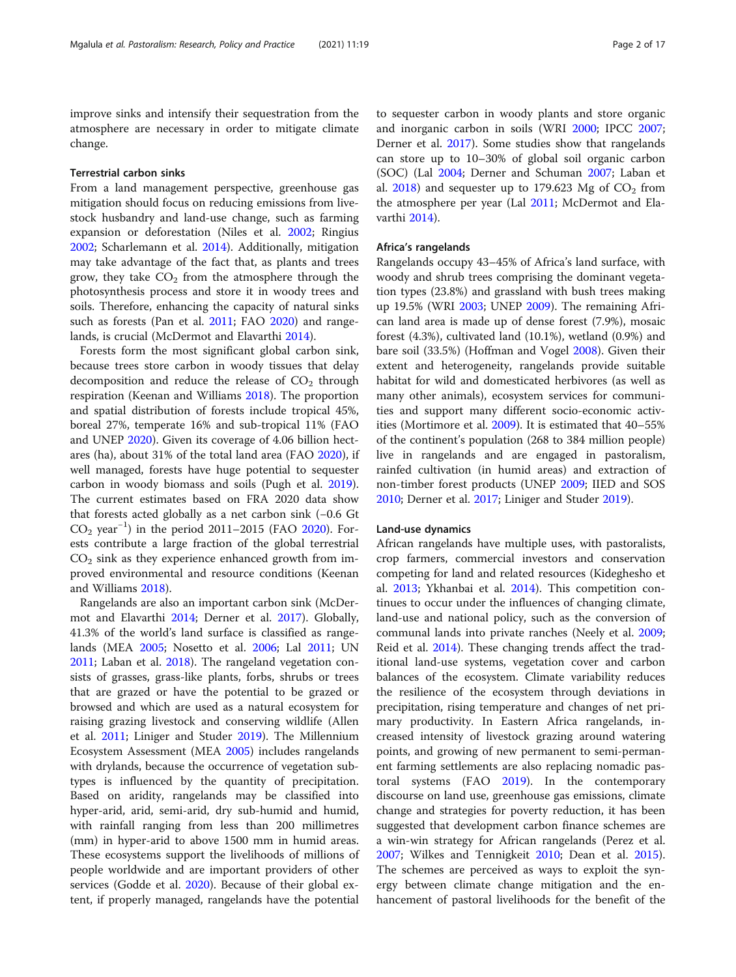improve sinks and intensify their sequestration from the atmosphere are necessary in order to mitigate climate change.

#### Terrestrial carbon sinks

From a land management perspective, greenhouse gas mitigation should focus on reducing emissions from livestock husbandry and land-use change, such as farming expansion or deforestation (Niles et al. [2002;](#page-14-0) Ringius [2002](#page-15-0); Scharlemann et al. [2014](#page-15-0)). Additionally, mitigation may take advantage of the fact that, as plants and trees grow, they take  $CO<sub>2</sub>$  from the atmosphere through the photosynthesis process and store it in woody trees and soils. Therefore, enhancing the capacity of natural sinks such as forests (Pan et al. [2011;](#page-14-0) FAO [2020](#page-12-0)) and rangelands, is crucial (McDermot and Elavarthi [2014\)](#page-14-0).

Forests form the most significant global carbon sink, because trees store carbon in woody tissues that delay decomposition and reduce the release of  $CO<sub>2</sub>$  through respiration (Keenan and Williams [2018](#page-13-0)). The proportion and spatial distribution of forests include tropical 45%, boreal 27%, temperate 16% and sub-tropical 11% (FAO and UNEP [2020](#page-12-0)). Given its coverage of 4.06 billion hectares (ha), about 31% of the total land area (FAO [2020\)](#page-12-0), if well managed, forests have huge potential to sequester carbon in woody biomass and soils (Pugh et al. [2019](#page-14-0)). The current estimates based on FRA 2020 data show that forests acted globally as a net carbon sink (−0.6 Gt CO2 year−<sup>1</sup> ) in the period 2011–2015 (FAO [2020\)](#page-12-0). Forests contribute a large fraction of the global terrestrial  $CO<sub>2</sub>$  sink as they experience enhanced growth from improved environmental and resource conditions (Keenan and Williams [2018\)](#page-13-0).

Rangelands are also an important carbon sink (McDermot and Elavarthi [2014](#page-14-0); Derner et al. [2017](#page-12-0)). Globally, 41.3% of the world's land surface is classified as rangelands (MEA [2005;](#page-14-0) Nosetto et al. [2006](#page-14-0); Lal [2011;](#page-13-0) UN [2011](#page-16-0); Laban et al. [2018](#page-13-0)). The rangeland vegetation consists of grasses, grass-like plants, forbs, shrubs or trees that are grazed or have the potential to be grazed or browsed and which are used as a natural ecosystem for raising grazing livestock and conserving wildlife (Allen et al. [2011;](#page-11-0) Liniger and Studer [2019](#page-13-0)). The Millennium Ecosystem Assessment (MEA [2005](#page-14-0)) includes rangelands with drylands, because the occurrence of vegetation subtypes is influenced by the quantity of precipitation. Based on aridity, rangelands may be classified into hyper-arid, arid, semi-arid, dry sub-humid and humid, with rainfall ranging from less than 200 millimetres (mm) in hyper-arid to above 1500 mm in humid areas. These ecosystems support the livelihoods of millions of people worldwide and are important providers of other services (Godde et al. [2020\)](#page-12-0). Because of their global extent, if properly managed, rangelands have the potential

to sequester carbon in woody plants and store organic and inorganic carbon in soils (WRI [2000;](#page-16-0) IPCC [2007](#page-13-0); Derner et al. [2017\)](#page-12-0). Some studies show that rangelands can store up to 10–30% of global soil organic carbon (SOC) (Lal [2004](#page-13-0); Derner and Schuman [2007](#page-12-0); Laban et al. [2018](#page-13-0)) and sequester up to 179.623 Mg of  $CO<sub>2</sub>$  from the atmosphere per year (Lal [2011](#page-13-0); McDermot and Elavarthi [2014\)](#page-14-0).

#### Africa's rangelands

Rangelands occupy 43–45% of Africa's land surface, with woody and shrub trees comprising the dominant vegetation types (23.8%) and grassland with bush trees making up 19.5% (WRI [2003](#page-16-0); UNEP [2009\)](#page-16-0). The remaining African land area is made up of dense forest (7.9%), mosaic forest (4.3%), cultivated land (10.1%), wetland (0.9%) and bare soil (33.5%) (Hoffman and Vogel [2008\)](#page-13-0). Given their extent and heterogeneity, rangelands provide suitable habitat for wild and domesticated herbivores (as well as many other animals), ecosystem services for communities and support many different socio-economic activities (Mortimore et al. [2009\)](#page-14-0). It is estimated that 40–55% of the continent's population (268 to 384 million people) live in rangelands and are engaged in pastoralism, rainfed cultivation (in humid areas) and extraction of non-timber forest products (UNEP [2009](#page-16-0); IIED and SOS [2010](#page-13-0); Derner et al. [2017](#page-12-0); Liniger and Studer [2019\)](#page-13-0).

#### Land-use dynamics

African rangelands have multiple uses, with pastoralists, crop farmers, commercial investors and conservation competing for land and related resources (Kideghesho et al. [2013](#page-13-0); Ykhanbai et al. [2014](#page-16-0)). This competition continues to occur under the influences of changing climate, land-use and national policy, such as the conversion of communal lands into private ranches (Neely et al. [2009](#page-14-0); Reid et al. [2014\)](#page-14-0). These changing trends affect the traditional land-use systems, vegetation cover and carbon balances of the ecosystem. Climate variability reduces the resilience of the ecosystem through deviations in precipitation, rising temperature and changes of net primary productivity. In Eastern Africa rangelands, increased intensity of livestock grazing around watering points, and growing of new permanent to semi-permanent farming settlements are also replacing nomadic pastoral systems (FAO [2019](#page-12-0)). In the contemporary discourse on land use, greenhouse gas emissions, climate change and strategies for poverty reduction, it has been suggested that development carbon finance schemes are a win-win strategy for African rangelands (Perez et al. [2007](#page-14-0); Wilkes and Tennigkeit [2010](#page-16-0); Dean et al. [2015](#page-12-0)). The schemes are perceived as ways to exploit the synergy between climate change mitigation and the enhancement of pastoral livelihoods for the benefit of the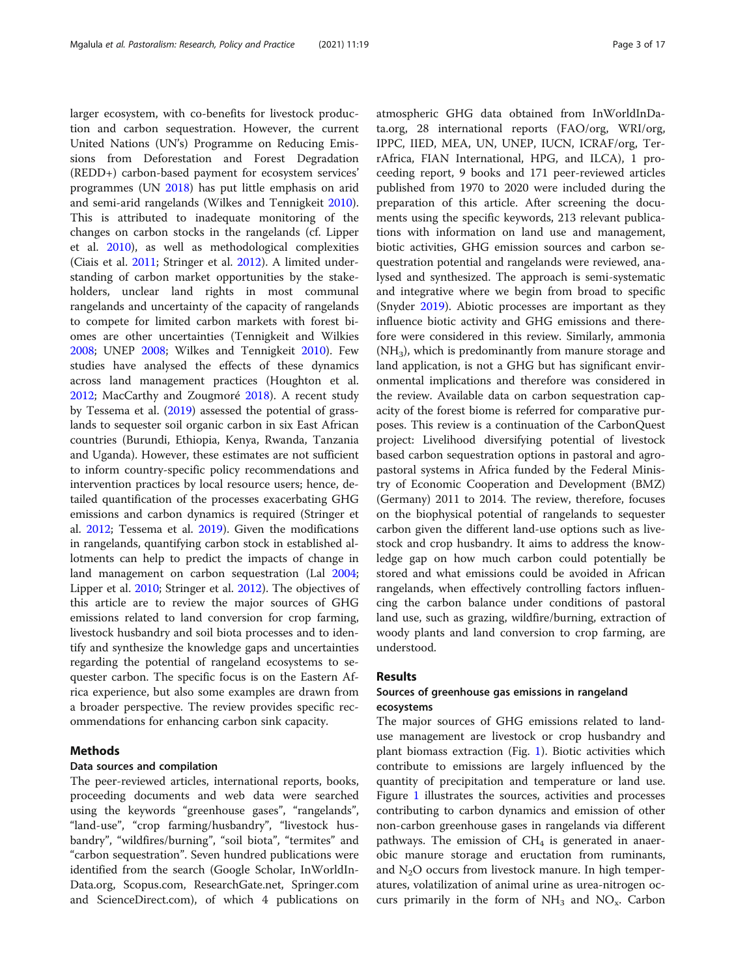larger ecosystem, with co-benefits for livestock production and carbon sequestration. However, the current United Nations (UN's) Programme on Reducing Emissions from Deforestation and Forest Degradation (REDD+) carbon-based payment for ecosystem services' programmes (UN [2018\)](#page-16-0) has put little emphasis on arid and semi-arid rangelands (Wilkes and Tennigkeit [2010](#page-16-0)). This is attributed to inadequate monitoring of the changes on carbon stocks in the rangelands (cf. Lipper et al. [2010](#page-13-0)), as well as methodological complexities (Ciais et al. [2011;](#page-11-0) Stringer et al. [2012\)](#page-15-0). A limited understanding of carbon market opportunities by the stakeholders, unclear land rights in most communal rangelands and uncertainty of the capacity of rangelands to compete for limited carbon markets with forest biomes are other uncertainties (Tennigkeit and Wilkies [2008](#page-15-0); UNEP [2008](#page-16-0); Wilkes and Tennigkeit [2010\)](#page-16-0). Few studies have analysed the effects of these dynamics across land management practices (Houghton et al. [2012](#page-13-0); MacCarthy and Zougmoré [2018](#page-13-0)). A recent study by Tessema et al. ([2019](#page-15-0)) assessed the potential of grasslands to sequester soil organic carbon in six East African countries (Burundi, Ethiopia, Kenya, Rwanda, Tanzania and Uganda). However, these estimates are not sufficient to inform country-specific policy recommendations and intervention practices by local resource users; hence, detailed quantification of the processes exacerbating GHG emissions and carbon dynamics is required (Stringer et al. [2012;](#page-15-0) Tessema et al. [2019](#page-15-0)). Given the modifications in rangelands, quantifying carbon stock in established allotments can help to predict the impacts of change in land management on carbon sequestration (Lal [2004](#page-13-0); Lipper et al. [2010;](#page-13-0) Stringer et al. [2012\)](#page-15-0). The objectives of this article are to review the major sources of GHG emissions related to land conversion for crop farming, livestock husbandry and soil biota processes and to identify and synthesize the knowledge gaps and uncertainties regarding the potential of rangeland ecosystems to sequester carbon. The specific focus is on the Eastern Africa experience, but also some examples are drawn from a broader perspective. The review provides specific recommendations for enhancing carbon sink capacity.

#### Methods

#### Data sources and compilation

The peer-reviewed articles, international reports, books, proceeding documents and web data were searched using the keywords "greenhouse gases", "rangelands", "land-use", "crop farming/husbandry", "livestock husbandry", "wildfires/burning", "soil biota", "termites" and "carbon sequestration". Seven hundred publications were identified from the search (Google Scholar, InWorldIn-Data.org, Scopus.com, ResearchGate.net, Springer.com and ScienceDirect.com), of which 4 publications on atmospheric GHG data obtained from InWorldInData.org, 28 international reports (FAO/org, WRI/org, IPPC, IIED, MEA, UN, UNEP, IUCN, ICRAF/org, TerrAfrica, FIAN International, HPG, and ILCA), 1 proceeding report, 9 books and 171 peer-reviewed articles published from 1970 to 2020 were included during the preparation of this article. After screening the documents using the specific keywords, 213 relevant publications with information on land use and management, biotic activities, GHG emission sources and carbon sequestration potential and rangelands were reviewed, analysed and synthesized. The approach is semi-systematic and integrative where we begin from broad to specific (Snyder [2019](#page-15-0)). Abiotic processes are important as they influence biotic activity and GHG emissions and therefore were considered in this review. Similarly, ammonia  $(NH_3)$ , which is predominantly from manure storage and land application, is not a GHG but has significant environmental implications and therefore was considered in the review. Available data on carbon sequestration capacity of the forest biome is referred for comparative purposes. This review is a continuation of the CarbonQuest project: Livelihood diversifying potential of livestock based carbon sequestration options in pastoral and agropastoral systems in Africa funded by the Federal Ministry of Economic Cooperation and Development (BMZ) (Germany) 2011 to 2014. The review, therefore, focuses on the biophysical potential of rangelands to sequester carbon given the different land-use options such as livestock and crop husbandry. It aims to address the knowledge gap on how much carbon could potentially be stored and what emissions could be avoided in African rangelands, when effectively controlling factors influencing the carbon balance under conditions of pastoral land use, such as grazing, wildfire/burning, extraction of woody plants and land conversion to crop farming, are understood.

#### Results

#### Sources of greenhouse gas emissions in rangeland ecosystems

The major sources of GHG emissions related to landuse management are livestock or crop husbandry and plant biomass extraction (Fig. [1\)](#page-3-0). Biotic activities which contribute to emissions are largely influenced by the quantity of precipitation and temperature or land use. Figure [1](#page-3-0) illustrates the sources, activities and processes contributing to carbon dynamics and emission of other non-carbon greenhouse gases in rangelands via different pathways. The emission of  $CH<sub>4</sub>$  is generated in anaerobic manure storage and eructation from ruminants, and  $N_2O$  occurs from livestock manure. In high temperatures, volatilization of animal urine as urea-nitrogen occurs primarily in the form of  $NH_3$  and  $NO_x$ . Carbon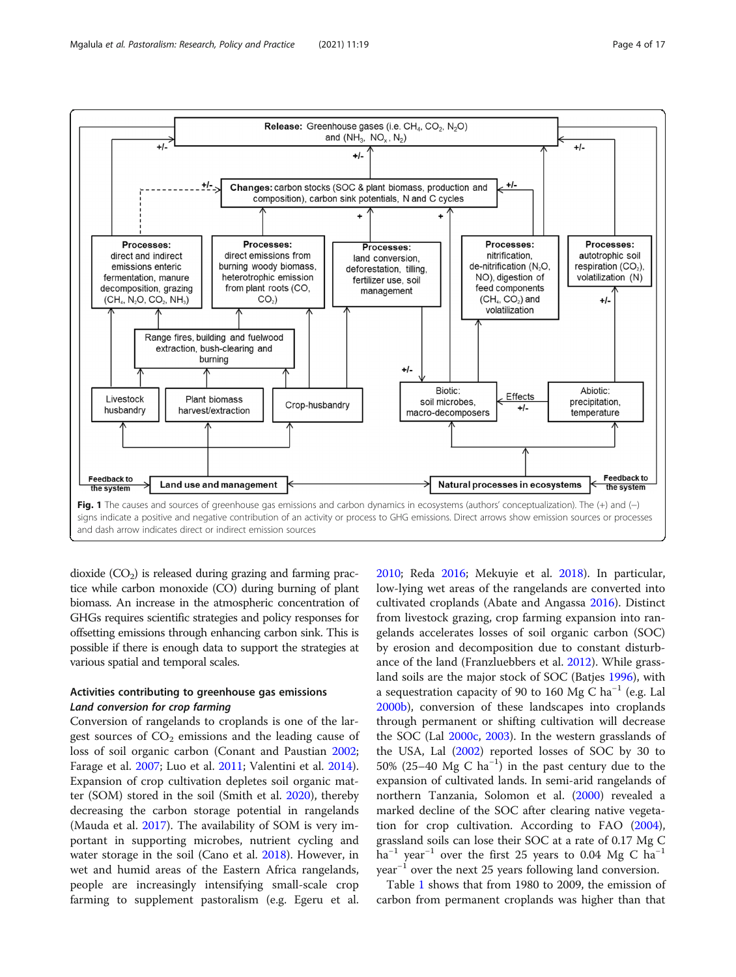<span id="page-3-0"></span>

dioxide  $(CO<sub>2</sub>)$  is released during grazing and farming practice while carbon monoxide (CO) during burning of plant biomass. An increase in the atmospheric concentration of GHGs requires scientific strategies and policy responses for offsetting emissions through enhancing carbon sink. This is possible if there is enough data to support the strategies at various spatial and temporal scales.

#### Activities contributing to greenhouse gas emissions Land conversion for crop farming

Conversion of rangelands to croplands is one of the largest sources of  $CO<sub>2</sub>$  emissions and the leading cause of loss of soil organic carbon (Conant and Paustian [2002](#page-12-0); Farage et al. [2007](#page-12-0); Luo et al. [2011;](#page-13-0) Valentini et al. [2014](#page-16-0)). Expansion of crop cultivation depletes soil organic matter (SOM) stored in the soil (Smith et al. [2020](#page-15-0)), thereby decreasing the carbon storage potential in rangelands (Mauda et al. [2017\)](#page-14-0). The availability of SOM is very important in supporting microbes, nutrient cycling and water storage in the soil (Cano et al. [2018\)](#page-11-0). However, in wet and humid areas of the Eastern Africa rangelands, people are increasingly intensifying small-scale crop farming to supplement pastoralism (e.g. Egeru et al.

[2010](#page-12-0); Reda [2016](#page-14-0); Mekuyie et al. [2018](#page-14-0)). In particular, low-lying wet areas of the rangelands are converted into cultivated croplands (Abate and Angassa [2016](#page-11-0)). Distinct from livestock grazing, crop farming expansion into rangelands accelerates losses of soil organic carbon (SOC) by erosion and decomposition due to constant disturbance of the land (Franzluebbers et al. [2012\)](#page-12-0). While grassland soils are the major stock of SOC (Batjes [1996](#page-11-0)), with a sequestration capacity of 90 to 160 Mg C ha<sup>-1</sup> (e.g. Lal [2000b](#page-13-0)), conversion of these landscapes into croplands through permanent or shifting cultivation will decrease the SOC (Lal [2000c](#page-13-0), [2003\)](#page-13-0). In the western grasslands of the USA, Lal ([2002\)](#page-13-0) reported losses of SOC by 30 to 50% (25–40 Mg C ha<sup>-1</sup>) in the past century due to the expansion of cultivated lands. In semi-arid rangelands of northern Tanzania, Solomon et al. [\(2000\)](#page-15-0) revealed a marked decline of the SOC after clearing native vegetation for crop cultivation. According to FAO ([2004](#page-12-0)), grassland soils can lose their SOC at a rate of 0.17 Mg C ha<sup>-1</sup> year<sup>-1</sup> over the first 25 years to 0.04 Mg C ha<sup>-1</sup> year−<sup>1</sup> over the next 25 years following land conversion.

Table [1](#page-4-0) shows that from 1980 to 2009, the emission of carbon from permanent croplands was higher than that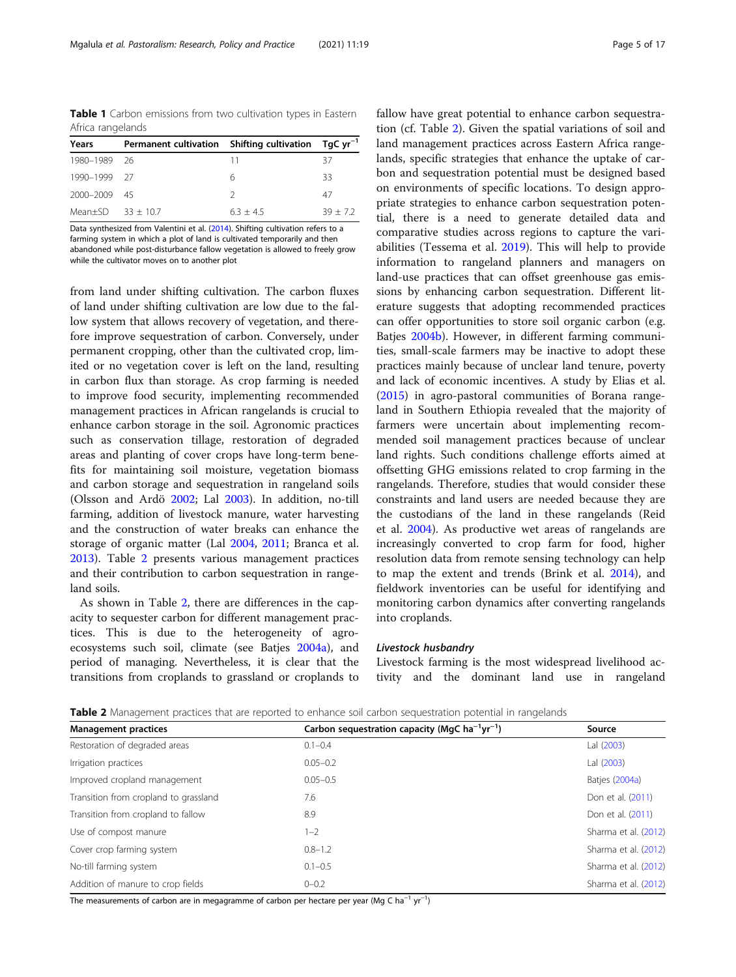<span id="page-4-0"></span>Table 1 Carbon emissions from two cultivation types in Eastern Africa rangelands

| Years              | Permanent cultivation Shifting cultivation TgC yr <sup>-1</sup> |             |           |
|--------------------|-----------------------------------------------------------------|-------------|-----------|
| 1980-1989 26       |                                                                 | 11          | 37        |
| 1990-1999 27       |                                                                 | 6           | 33        |
| 2000-2009 45       |                                                                 |             | 47        |
| Mean+SD $33 + 107$ |                                                                 | $6.3 + 4.5$ | $39 + 72$ |

Data synthesized from Valentini et al. ([2014](#page-16-0)). Shifting cultivation refers to a farming system in which a plot of land is cultivated temporarily and then

abandoned while post-disturbance fallow vegetation is allowed to freely grow while the cultivator moves on to another plot

from land under shifting cultivation. The carbon fluxes of land under shifting cultivation are low due to the fallow system that allows recovery of vegetation, and therefore improve sequestration of carbon. Conversely, under permanent cropping, other than the cultivated crop, limited or no vegetation cover is left on the land, resulting in carbon flux than storage. As crop farming is needed to improve food security, implementing recommended management practices in African rangelands is crucial to enhance carbon storage in the soil. Agronomic practices such as conservation tillage, restoration of degraded areas and planting of cover crops have long-term benefits for maintaining soil moisture, vegetation biomass and carbon storage and sequestration in rangeland soils (Olsson and Ardö [2002;](#page-14-0) Lal [2003\)](#page-13-0). In addition, no-till farming, addition of livestock manure, water harvesting and the construction of water breaks can enhance the storage of organic matter (Lal [2004](#page-13-0), [2011;](#page-13-0) Branca et al. [2013](#page-11-0)). Table 2 presents various management practices and their contribution to carbon sequestration in rangeland soils.

As shown in Table 2, there are differences in the capacity to sequester carbon for different management practices. This is due to the heterogeneity of agroecosystems such soil, climate (see Batjes [2004a\)](#page-11-0), and period of managing. Nevertheless, it is clear that the transitions from croplands to grassland or croplands to

fallow have great potential to enhance carbon sequestration (cf. Table 2). Given the spatial variations of soil and land management practices across Eastern Africa rangelands, specific strategies that enhance the uptake of carbon and sequestration potential must be designed based on environments of specific locations. To design appropriate strategies to enhance carbon sequestration potential, there is a need to generate detailed data and comparative studies across regions to capture the variabilities (Tessema et al. [2019\)](#page-15-0). This will help to provide information to rangeland planners and managers on land-use practices that can offset greenhouse gas emissions by enhancing carbon sequestration. Different literature suggests that adopting recommended practices can offer opportunities to store soil organic carbon (e.g. Batjes [2004b\)](#page-11-0). However, in different farming communities, small-scale farmers may be inactive to adopt these practices mainly because of unclear land tenure, poverty and lack of economic incentives. A study by Elias et al. ([2015\)](#page-12-0) in agro-pastoral communities of Borana rangeland in Southern Ethiopia revealed that the majority of farmers were uncertain about implementing recommended soil management practices because of unclear land rights. Such conditions challenge efforts aimed at offsetting GHG emissions related to crop farming in the rangelands. Therefore, studies that would consider these constraints and land users are needed because they are the custodians of the land in these rangelands (Reid et al. [2004\)](#page-14-0). As productive wet areas of rangelands are increasingly converted to crop farm for food, higher resolution data from remote sensing technology can help to map the extent and trends (Brink et al. [2014\)](#page-11-0), and fieldwork inventories can be useful for identifying and monitoring carbon dynamics after converting rangelands into croplands.

#### Livestock husbandry

Livestock farming is the most widespread livelihood activity and the dominant land use in rangeland

Table 2 Management practices that are reported to enhance soil carbon sequestration potential in rangelands

| <b>Management practices</b>           | Carbon sequestration capacity (MgC ha <sup>-1</sup> yr <sup>-1</sup> ) | Source               |
|---------------------------------------|------------------------------------------------------------------------|----------------------|
| Restoration of degraded areas         | $0.1 - 0.4$                                                            | Lal (2003)           |
| Irrigation practices                  | $0.05 - 0.2$                                                           | Lal (2003)           |
| Improved cropland management          | $0.05 - 0.5$                                                           | Batjes (2004a)       |
| Transition from cropland to grassland | 7.6                                                                    | Don et al. (2011)    |
| Transition from cropland to fallow    | 8.9                                                                    | Don et al. (2011)    |
| Use of compost manure                 | $1 - 2$                                                                | Sharma et al. (2012) |
| Cover crop farming system             | $0.8 - 1.2$                                                            | Sharma et al. (2012) |
| No-till farming system                | $0.1 - 0.5$                                                            | Sharma et al. (2012) |
| Addition of manure to crop fields     | $0 - 0.2$                                                              | Sharma et al. (2012) |

The measurements of carbon are in megagramme of carbon per hectare per year (Mg C ha<sup>-1</sup> yr<sup>-1</sup>)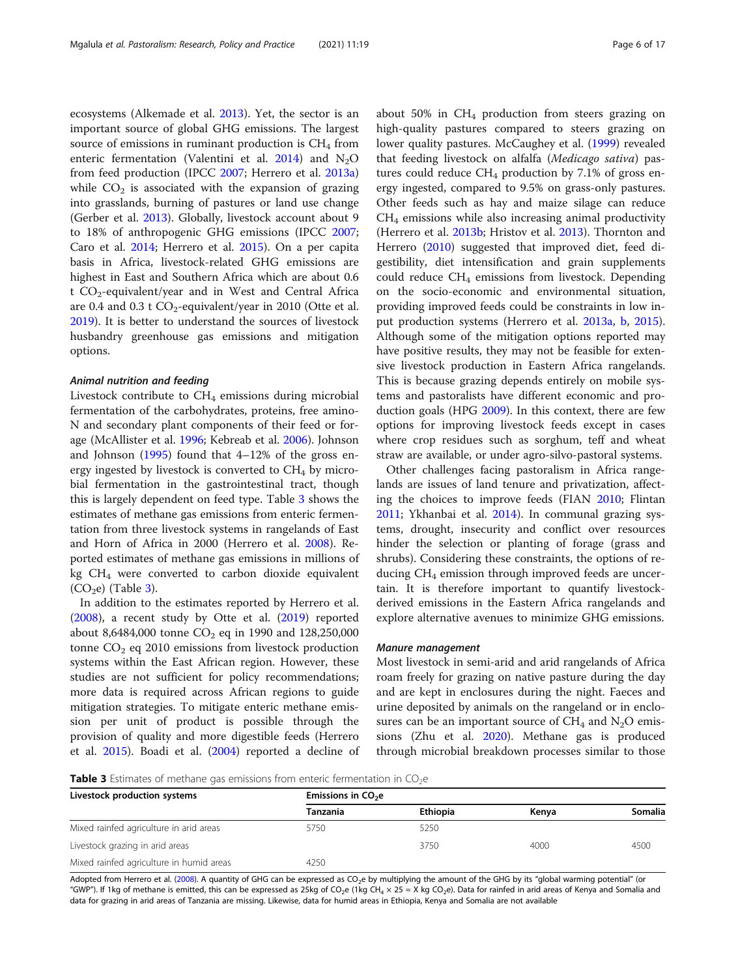ecosystems (Alkemade et al. [2013](#page-11-0)). Yet, the sector is an important source of global GHG emissions. The largest source of emissions in ruminant production is  $CH<sub>4</sub>$  from enteric fermentation (Valentini et al. [2014](#page-16-0)) and  $N_2O$ from feed production (IPCC [2007;](#page-13-0) Herrero et al. [2013a](#page-12-0)) while  $CO<sub>2</sub>$  is associated with the expansion of grazing into grasslands, burning of pastures or land use change (Gerber et al. [2013](#page-12-0)). Globally, livestock account about 9 to 18% of anthropogenic GHG emissions (IPCC [2007](#page-13-0); Caro et al. [2014;](#page-11-0) Herrero et al. [2015](#page-13-0)). On a per capita basis in Africa, livestock-related GHG emissions are highest in East and Southern Africa which are about 0.6 t  $CO<sub>2</sub>$ -equivalent/year and in West and Central Africa are 0.4 and 0.3 t  $CO_2$ -equivalent/year in 2010 (Otte et al. [2019](#page-14-0)). It is better to understand the sources of livestock husbandry greenhouse gas emissions and mitigation options.

#### Animal nutrition and feeding

Livestock contribute to  $CH<sub>4</sub>$  emissions during microbial fermentation of the carbohydrates, proteins, free amino-N and secondary plant components of their feed or forage (McAllister et al. [1996;](#page-14-0) Kebreab et al. [2006\)](#page-13-0). Johnson and Johnson [\(1995\)](#page-13-0) found that 4–12% of the gross energy ingested by livestock is converted to  $CH<sub>4</sub>$  by microbial fermentation in the gastrointestinal tract, though this is largely dependent on feed type. Table 3 shows the estimates of methane gas emissions from enteric fermentation from three livestock systems in rangelands of East and Horn of Africa in 2000 (Herrero et al. [2008\)](#page-13-0). Reported estimates of methane gas emissions in millions of kg  $CH<sub>4</sub>$  were converted to carbon dioxide equivalent  $(CO<sub>2</sub>e)$  (Table 3).

In addition to the estimates reported by Herrero et al. ([2008](#page-13-0)), a recent study by Otte et al. [\(2019](#page-14-0)) reported about 8,6484,000 tonne  $CO_2$  eq in 1990 and 128,250,000 tonne  $CO<sub>2</sub>$  eq 2010 emissions from livestock production systems within the East African region. However, these studies are not sufficient for policy recommendations; more data is required across African regions to guide mitigation strategies. To mitigate enteric methane emission per unit of product is possible through the provision of quality and more digestible feeds (Herrero et al. [2015](#page-13-0)). Boadi et al. [\(2004](#page-11-0)) reported a decline of about 50% in  $CH_4$  production from steers grazing on high-quality pastures compared to steers grazing on lower quality pastures. McCaughey et al. ([1999\)](#page-14-0) revealed that feeding livestock on alfalfa (Medicago sativa) pastures could reduce  $CH_4$  production by 7.1% of gross energy ingested, compared to 9.5% on grass-only pastures. Other feeds such as hay and maize silage can reduce CH4 emissions while also increasing animal productivity (Herrero et al. [2013b](#page-12-0); Hristov et al. [2013](#page-13-0)). Thornton and Herrero [\(2010](#page-15-0)) suggested that improved diet, feed digestibility, diet intensification and grain supplements could reduce  $CH_4$  emissions from livestock. Depending on the socio-economic and environmental situation, providing improved feeds could be constraints in low input production systems (Herrero et al. [2013a](#page-12-0), [b](#page-12-0), [2015](#page-13-0)). Although some of the mitigation options reported may have positive results, they may not be feasible for extensive livestock production in Eastern Africa rangelands. This is because grazing depends entirely on mobile systems and pastoralists have different economic and production goals (HPG [2009\)](#page-13-0). In this context, there are few options for improving livestock feeds except in cases where crop residues such as sorghum, teff and wheat straw are available, or under agro-silvo-pastoral systems.

Other challenges facing pastoralism in Africa rangelands are issues of land tenure and privatization, affecting the choices to improve feeds (FIAN [2010;](#page-12-0) Flintan [2011](#page-12-0); Ykhanbai et al. [2014](#page-16-0)). In communal grazing systems, drought, insecurity and conflict over resources hinder the selection or planting of forage (grass and shrubs). Considering these constraints, the options of reducing  $CH<sub>4</sub>$  emission through improved feeds are uncertain. It is therefore important to quantify livestockderived emissions in the Eastern Africa rangelands and explore alternative avenues to minimize GHG emissions.

#### Manure management

Most livestock in semi-arid and arid rangelands of Africa roam freely for grazing on native pasture during the day and are kept in enclosures during the night. Faeces and urine deposited by animals on the rangeland or in enclosures can be an important source of  $CH_4$  and  $N_2O$  emissions (Zhu et al. [2020](#page-16-0)). Methane gas is produced through microbial breakdown processes similar to those

**Table 3** Estimates of methane gas emissions from enteric fermentation in  $CO<sub>2</sub>e$ 

| Livestock production systems             | Emissions in $CO2e$ |                 |       |         |  |  |
|------------------------------------------|---------------------|-----------------|-------|---------|--|--|
|                                          | <b>Tanzania</b>     | <b>Ethiopia</b> | Kenva | Somalia |  |  |
| Mixed rainfed agriculture in arid areas  | 5750                | 5250            |       |         |  |  |
| Livestock grazing in arid areas          |                     | 3750            | 4000  | 4500    |  |  |
| Mixed rainfed agriculture in humid areas | 4250                |                 |       |         |  |  |

Adopted from Herrero et al. [\(2008](#page-12-0)). A quantity of GHG can be expressed as CO<sub>2</sub>e by multiplying the amount of the GHG by its "global warming potential" (or "GWP"). If 1kg of methane is emitted, this can be expressed as 25kg of CO<sub>2</sub>e (1kg CH<sub>4</sub> × 25 = X kg CO<sub>2</sub>e). Data for rainfed in arid areas of Kenya and Somalia and data for grazing in arid areas of Tanzania are missing. Likewise, data for humid areas in Ethiopia, Kenya and Somalia are not available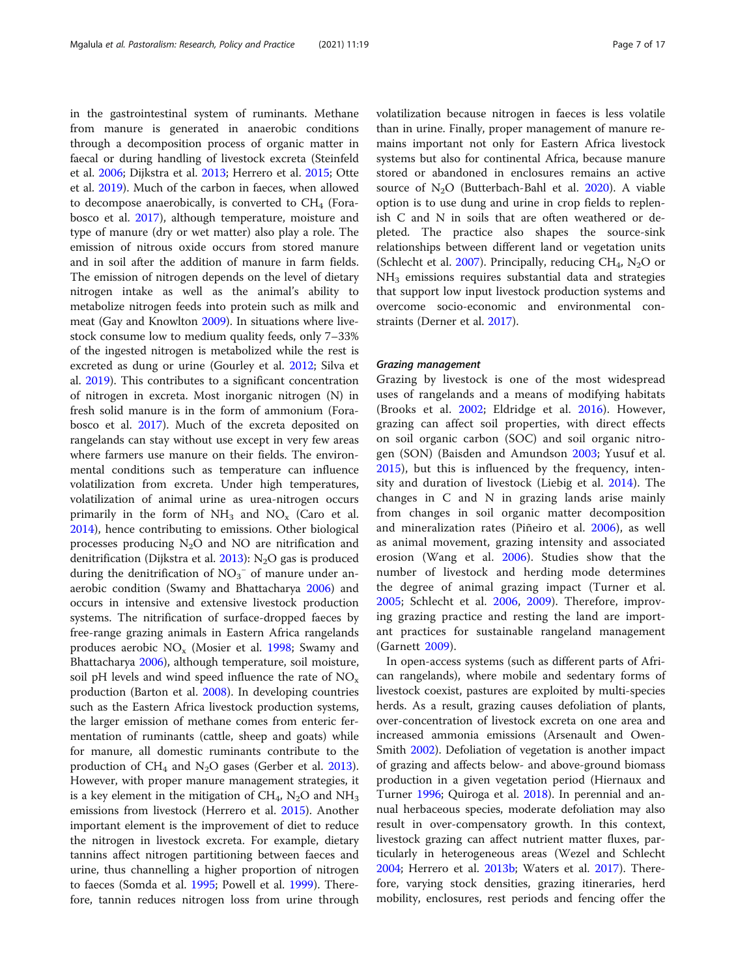in the gastrointestinal system of ruminants. Methane from manure is generated in anaerobic conditions through a decomposition process of organic matter in faecal or during handling of livestock excreta (Steinfeld et al. [2006](#page-15-0); Dijkstra et al. [2013;](#page-12-0) Herrero et al. [2015;](#page-13-0) Otte et al. [2019](#page-14-0)). Much of the carbon in faeces, when allowed to decompose anaerobically, is converted to  $CH<sub>4</sub>$  (Forabosco et al. [2017](#page-12-0)), although temperature, moisture and type of manure (dry or wet matter) also play a role. The emission of nitrous oxide occurs from stored manure and in soil after the addition of manure in farm fields. The emission of nitrogen depends on the level of dietary nitrogen intake as well as the animal's ability to metabolize nitrogen feeds into protein such as milk and meat (Gay and Knowlton [2009\)](#page-12-0). In situations where livestock consume low to medium quality feeds, only 7–33% of the ingested nitrogen is metabolized while the rest is excreted as dung or urine (Gourley et al. [2012;](#page-12-0) Silva et al. [2019\)](#page-15-0). This contributes to a significant concentration of nitrogen in excreta. Most inorganic nitrogen (N) in fresh solid manure is in the form of ammonium (Forabosco et al. [2017](#page-12-0)). Much of the excreta deposited on rangelands can stay without use except in very few areas where farmers use manure on their fields. The environmental conditions such as temperature can influence volatilization from excreta. Under high temperatures, volatilization of animal urine as urea-nitrogen occurs primarily in the form of  $NH_3$  and  $NO_x$  (Caro et al. [2014](#page-11-0)), hence contributing to emissions. Other biological processes producing  $N_2O$  and NO are nitrification and denitrification (Dijkstra et al.  $2013$ ): N<sub>2</sub>O gas is produced during the denitrification of  $NO<sub>3</sub><sup>-</sup>$  of manure under anaerobic condition (Swamy and Bhattacharya [2006\)](#page-15-0) and occurs in intensive and extensive livestock production systems. The nitrification of surface-dropped faeces by free-range grazing animals in Eastern Africa rangelands produces aerobic  $NO_x$  (Mosier et al. [1998;](#page-14-0) Swamy and Bhattacharya [2006](#page-15-0)), although temperature, soil moisture, soil pH levels and wind speed influence the rate of  $NO<sub>x</sub>$ production (Barton et al. [2008\)](#page-11-0). In developing countries such as the Eastern Africa livestock production systems, the larger emission of methane comes from enteric fermentation of ruminants (cattle, sheep and goats) while for manure, all domestic ruminants contribute to the production of  $CH_4$  and N<sub>2</sub>O gases (Gerber et al. [2013](#page-12-0)). However, with proper manure management strategies, it is a key element in the mitigation of  $CH_4$ , N<sub>2</sub>O and NH<sub>3</sub> emissions from livestock (Herrero et al. [2015](#page-13-0)). Another important element is the improvement of diet to reduce the nitrogen in livestock excreta. For example, dietary tannins affect nitrogen partitioning between faeces and urine, thus channelling a higher proportion of nitrogen to faeces (Somda et al. [1995](#page-15-0); Powell et al. [1999\)](#page-14-0). Therefore, tannin reduces nitrogen loss from urine through volatilization because nitrogen in faeces is less volatile than in urine. Finally, proper management of manure remains important not only for Eastern Africa livestock systems but also for continental Africa, because manure stored or abandoned in enclosures remains an active source of  $N_2O$  (Butterbach-Bahl et al. [2020](#page-11-0)). A viable option is to use dung and urine in crop fields to replenish C and N in soils that are often weathered or depleted. The practice also shapes the source-sink relationships between different land or vegetation units (Schlecht et al. [2007](#page-15-0)). Principally, reducing  $CH_4$ , N<sub>2</sub>O or NH<sub>3</sub> emissions requires substantial data and strategies that support low input livestock production systems and overcome socio-economic and environmental constraints (Derner et al. [2017\)](#page-12-0).

#### Grazing management

Grazing by livestock is one of the most widespread uses of rangelands and a means of modifying habitats (Brooks et al. [2002](#page-11-0); Eldridge et al. [2016](#page-12-0)). However, grazing can affect soil properties, with direct effects on soil organic carbon (SOC) and soil organic nitrogen (SON) (Baisden and Amundson [2003](#page-11-0); Yusuf et al. [2015\)](#page-16-0), but this is influenced by the frequency, intensity and duration of livestock (Liebig et al. [2014\)](#page-13-0). The changes in C and N in grazing lands arise mainly from changes in soil organic matter decomposition and mineralization rates (Piñeiro et al. [2006\)](#page-14-0), as well as animal movement, grazing intensity and associated erosion (Wang et al. [2006](#page-16-0)). Studies show that the number of livestock and herding mode determines the degree of animal grazing impact (Turner et al. [2005;](#page-15-0) Schlecht et al. [2006](#page-15-0), [2009](#page-15-0)). Therefore, improving grazing practice and resting the land are important practices for sustainable rangeland management (Garnett [2009](#page-12-0)).

In open-access systems (such as different parts of African rangelands), where mobile and sedentary forms of livestock coexist, pastures are exploited by multi-species herds. As a result, grazing causes defoliation of plants, over-concentration of livestock excreta on one area and increased ammonia emissions (Arsenault and Owen-Smith [2002](#page-11-0)). Defoliation of vegetation is another impact of grazing and affects below- and above-ground biomass production in a given vegetation period (Hiernaux and Turner [1996](#page-13-0); Quiroga et al. [2018\)](#page-14-0). In perennial and annual herbaceous species, moderate defoliation may also result in over-compensatory growth. In this context, livestock grazing can affect nutrient matter fluxes, particularly in heterogeneous areas (Wezel and Schlecht [2004](#page-16-0); Herrero et al. [2013b;](#page-12-0) Waters et al. [2017](#page-16-0)). Therefore, varying stock densities, grazing itineraries, herd mobility, enclosures, rest periods and fencing offer the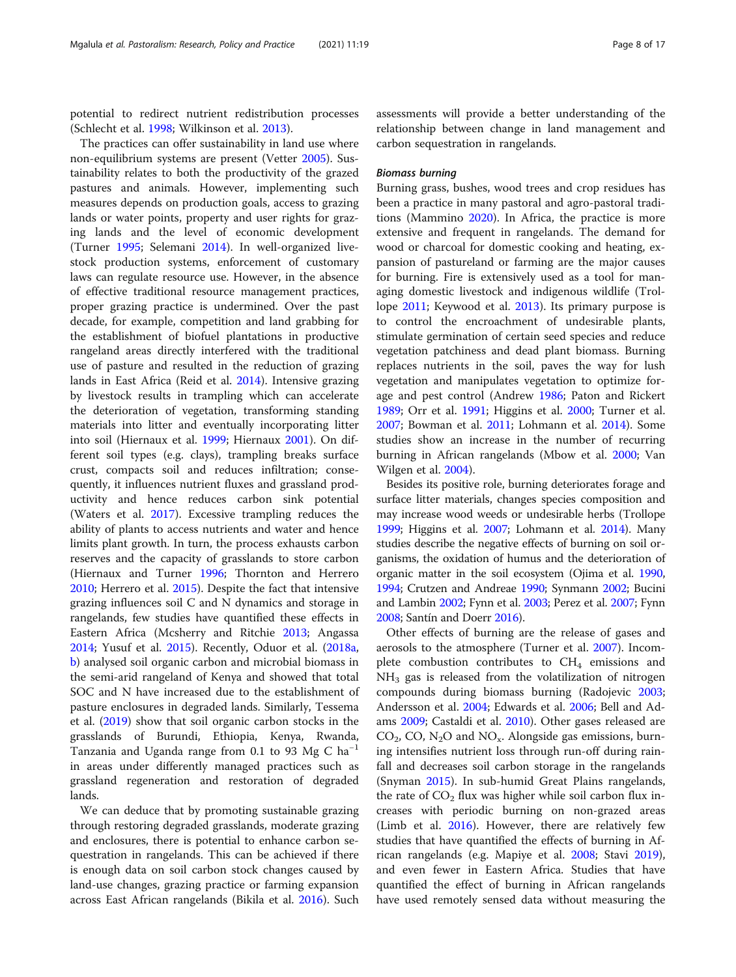potential to redirect nutrient redistribution processes (Schlecht et al. [1998;](#page-15-0) Wilkinson et al. [2013\)](#page-16-0).

The practices can offer sustainability in land use where non-equilibrium systems are present (Vetter [2005\)](#page-16-0). Sustainability relates to both the productivity of the grazed pastures and animals. However, implementing such measures depends on production goals, access to grazing lands or water points, property and user rights for grazing lands and the level of economic development (Turner [1995;](#page-15-0) Selemani [2014](#page-15-0)). In well-organized livestock production systems, enforcement of customary laws can regulate resource use. However, in the absence of effective traditional resource management practices, proper grazing practice is undermined. Over the past decade, for example, competition and land grabbing for the establishment of biofuel plantations in productive rangeland areas directly interfered with the traditional use of pasture and resulted in the reduction of grazing lands in East Africa (Reid et al. [2014](#page-14-0)). Intensive grazing by livestock results in trampling which can accelerate the deterioration of vegetation, transforming standing materials into litter and eventually incorporating litter into soil (Hiernaux et al. [1999](#page-13-0); Hiernaux [2001\)](#page-13-0). On different soil types (e.g. clays), trampling breaks surface crust, compacts soil and reduces infiltration; consequently, it influences nutrient fluxes and grassland productivity and hence reduces carbon sink potential (Waters et al. [2017\)](#page-16-0). Excessive trampling reduces the ability of plants to access nutrients and water and hence limits plant growth. In turn, the process exhausts carbon reserves and the capacity of grasslands to store carbon (Hiernaux and Turner [1996](#page-13-0); Thornton and Herrero [2010](#page-15-0); Herrero et al. [2015](#page-13-0)). Despite the fact that intensive grazing influences soil C and N dynamics and storage in rangelands, few studies have quantified these effects in Eastern Africa (Mcsherry and Ritchie [2013;](#page-14-0) Angassa [2014](#page-11-0); Yusuf et al. [2015\)](#page-16-0). Recently, Oduor et al. [\(2018a](#page-14-0), [b\)](#page-14-0) analysed soil organic carbon and microbial biomass in the semi-arid rangeland of Kenya and showed that total SOC and N have increased due to the establishment of pasture enclosures in degraded lands. Similarly, Tessema et al. ([2019](#page-15-0)) show that soil organic carbon stocks in the grasslands of Burundi, Ethiopia, Kenya, Rwanda, Tanzania and Uganda range from 0.1 to 93 Mg C ha<sup>-1</sup> in areas under differently managed practices such as grassland regeneration and restoration of degraded lands.

We can deduce that by promoting sustainable grazing through restoring degraded grasslands, moderate grazing and enclosures, there is potential to enhance carbon sequestration in rangelands. This can be achieved if there is enough data on soil carbon stock changes caused by land-use changes, grazing practice or farming expansion across East African rangelands (Bikila et al. [2016](#page-11-0)). Such

assessments will provide a better understanding of the relationship between change in land management and carbon sequestration in rangelands.

#### Biomass burning

Burning grass, bushes, wood trees and crop residues has been a practice in many pastoral and agro-pastoral traditions (Mammino [2020](#page-14-0)). In Africa, the practice is more extensive and frequent in rangelands. The demand for wood or charcoal for domestic cooking and heating, expansion of pastureland or farming are the major causes for burning. Fire is extensively used as a tool for managing domestic livestock and indigenous wildlife (Trollope [2011](#page-15-0); Keywood et al. [2013\)](#page-13-0). Its primary purpose is to control the encroachment of undesirable plants, stimulate germination of certain seed species and reduce vegetation patchiness and dead plant biomass. Burning replaces nutrients in the soil, paves the way for lush vegetation and manipulates vegetation to optimize for-age and pest control (Andrew [1986;](#page-11-0) Paton and Rickert [1989](#page-14-0); Orr et al. [1991;](#page-14-0) Higgins et al. [2000;](#page-13-0) Turner et al. [2007](#page-15-0); Bowman et al. [2011;](#page-11-0) Lohmann et al. [2014\)](#page-13-0). Some studies show an increase in the number of recurring burning in African rangelands (Mbow et al. [2000](#page-14-0); Van Wilgen et al. [2004](#page-16-0)).

Besides its positive role, burning deteriorates forage and surface litter materials, changes species composition and may increase wood weeds or undesirable herbs (Trollope [1999;](#page-15-0) Higgins et al. [2007;](#page-13-0) Lohmann et al. [2014\)](#page-13-0). Many studies describe the negative effects of burning on soil organisms, the oxidation of humus and the deterioration of organic matter in the soil ecosystem (Ojima et al. [1990](#page-14-0), [1994;](#page-14-0) Crutzen and Andreae [1990;](#page-12-0) Synmann [2002](#page-15-0); Bucini and Lambin [2002;](#page-11-0) Fynn et al. [2003](#page-12-0); Perez et al. [2007;](#page-14-0) Fynn [2008;](#page-12-0) Santín and Doerr [2016\)](#page-15-0).

Other effects of burning are the release of gases and aerosols to the atmosphere (Turner et al. [2007\)](#page-15-0). Incomplete combustion contributes to  $CH<sub>4</sub>$  emissions and  $NH<sub>3</sub>$  gas is released from the volatilization of nitrogen compounds during biomass burning (Radojevic [2003](#page-14-0); Andersson et al. [2004;](#page-11-0) Edwards et al. [2006;](#page-12-0) Bell and Adams [2009](#page-11-0); Castaldi et al. [2010\)](#page-11-0). Other gases released are  $CO<sub>2</sub>$ , CO, N<sub>2</sub>O and NO<sub>x</sub>. Alongside gas emissions, burning intensifies nutrient loss through run-off during rainfall and decreases soil carbon storage in the rangelands (Snyman [2015\)](#page-15-0). In sub-humid Great Plains rangelands, the rate of  $CO<sub>2</sub>$  flux was higher while soil carbon flux increases with periodic burning on non-grazed areas (Limb et al. [2016](#page-13-0)). However, there are relatively few studies that have quantified the effects of burning in African rangelands (e.g. Mapiye et al. [2008;](#page-14-0) Stavi [2019](#page-15-0)), and even fewer in Eastern Africa. Studies that have quantified the effect of burning in African rangelands have used remotely sensed data without measuring the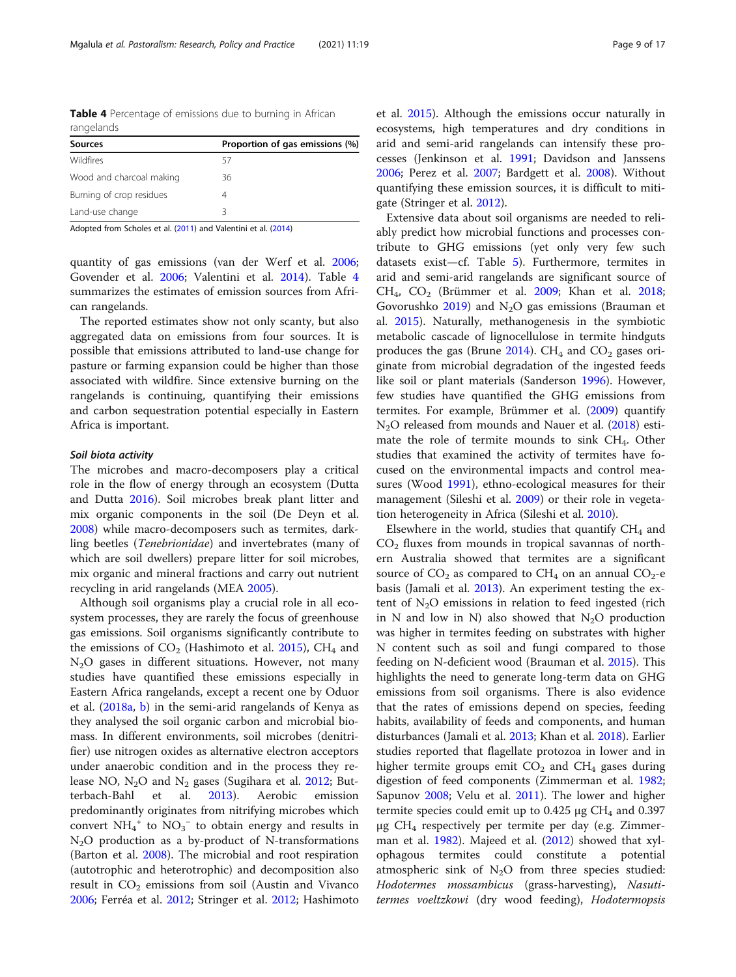Table 4 Percentage of emissions due to burning in African rangelands

| <b>Sources</b>           | Proportion of gas emissions (%) |
|--------------------------|---------------------------------|
| <b>Wildfires</b>         | 57                              |
| Wood and charcoal making | 36                              |
| Burning of crop residues |                                 |
| Land-use change          | ς                               |

Adopted from Scholes et al. [\(2011](#page-15-0)) and Valentini et al. ([2014\)](#page-16-0)

quantity of gas emissions (van der Werf et al. [2006](#page-16-0); Govender et al. [2006](#page-12-0); Valentini et al. [2014\)](#page-16-0). Table 4 summarizes the estimates of emission sources from African rangelands.

The reported estimates show not only scanty, but also aggregated data on emissions from four sources. It is possible that emissions attributed to land-use change for pasture or farming expansion could be higher than those associated with wildfire. Since extensive burning on the rangelands is continuing, quantifying their emissions and carbon sequestration potential especially in Eastern Africa is important.

#### Soil biota activity

The microbes and macro-decomposers play a critical role in the flow of energy through an ecosystem (Dutta and Dutta [2016\)](#page-12-0). Soil microbes break plant litter and mix organic components in the soil (De Deyn et al. [2008](#page-12-0)) while macro-decomposers such as termites, darkling beetles (Tenebrionidae) and invertebrates (many of which are soil dwellers) prepare litter for soil microbes, mix organic and mineral fractions and carry out nutrient recycling in arid rangelands (MEA [2005](#page-14-0)).

Although soil organisms play a crucial role in all ecosystem processes, they are rarely the focus of greenhouse gas emissions. Soil organisms significantly contribute to the emissions of  $CO<sub>2</sub>$  (Hashimoto et al. [2015](#page-12-0)), CH<sub>4</sub> and  $N<sub>2</sub>O$  gases in different situations. However, not many studies have quantified these emissions especially in Eastern Africa rangelands, except a recent one by Oduor et al. ([2018a,](#page-14-0) [b](#page-14-0)) in the semi-arid rangelands of Kenya as they analysed the soil organic carbon and microbial biomass. In different environments, soil microbes (denitrifier) use nitrogen oxides as alternative electron acceptors under anaerobic condition and in the process they release NO,  $N_2O$  and  $N_2$  gases (Sugihara et al. [2012;](#page-15-0) Butterbach-Bahl et al. [2013](#page-11-0)). Aerobic emission predominantly originates from nitrifying microbes which convert  $NH_4^+$  to  $NO_3^-$  to obtain energy and results in  $N_2O$  production as a by-product of N-transformations (Barton et al. [2008](#page-11-0)). The microbial and root respiration (autotrophic and heterotrophic) and decomposition also result in  $CO<sub>2</sub>$  emissions from soil (Austin and Vivanco [2006](#page-11-0); Ferréa et al. [2012;](#page-12-0) Stringer et al. [2012;](#page-15-0) Hashimoto et al. [2015\)](#page-12-0). Although the emissions occur naturally in ecosystems, high temperatures and dry conditions in arid and semi-arid rangelands can intensify these processes (Jenkinson et al. [1991;](#page-13-0) Davidson and Janssens [2006](#page-12-0); Perez et al. [2007](#page-14-0); Bardgett et al. [2008](#page-11-0)). Without quantifying these emission sources, it is difficult to mitigate (Stringer et al. [2012](#page-15-0)).

Extensive data about soil organisms are needed to reliably predict how microbial functions and processes contribute to GHG emissions (yet only very few such datasets exist—cf. Table [5\)](#page-9-0). Furthermore, termites in arid and semi-arid rangelands are significant source of  $CH<sub>4</sub>$ ,  $CO<sub>2</sub>$  (Brümmer et al. [2009;](#page-11-0) Khan et al. [2018](#page-13-0); Govorushko  $2019$ ) and N<sub>2</sub>O gas emissions (Brauman et al. [2015](#page-11-0)). Naturally, methanogenesis in the symbiotic metabolic cascade of lignocellulose in termite hindguts produces the gas (Brune  $2014$ ). CH<sub>4</sub> and CO<sub>2</sub> gases originate from microbial degradation of the ingested feeds like soil or plant materials (Sanderson [1996](#page-15-0)). However, few studies have quantified the GHG emissions from termites. For example, Brümmer et al. ([2009](#page-11-0)) quantify N<sub>2</sub>O released from mounds and Nauer et al. [\(2018\)](#page-14-0) estimate the role of termite mounds to sink CH4. Other studies that examined the activity of termites have focused on the environmental impacts and control measures (Wood [1991\)](#page-16-0), ethno-ecological measures for their management (Sileshi et al. [2009](#page-15-0)) or their role in vegetation heterogeneity in Africa (Sileshi et al. [2010](#page-15-0)).

Elsewhere in the world, studies that quantify  $CH<sub>4</sub>$  and  $CO<sub>2</sub>$  fluxes from mounds in tropical savannas of northern Australia showed that termites are a significant source of  $CO_2$  as compared to  $CH_4$  on an annual  $CO_2$ -e basis (Jamali et al. [2013\)](#page-13-0). An experiment testing the extent of  $N_2O$  emissions in relation to feed ingested (rich in N and low in N) also showed that  $N_2O$  production was higher in termites feeding on substrates with higher N content such as soil and fungi compared to those feeding on N-deficient wood (Brauman et al. [2015\)](#page-11-0). This highlights the need to generate long-term data on GHG emissions from soil organisms. There is also evidence that the rates of emissions depend on species, feeding habits, availability of feeds and components, and human disturbances (Jamali et al. [2013](#page-13-0); Khan et al. [2018\)](#page-13-0). Earlier studies reported that flagellate protozoa in lower and in higher termite groups emit  $CO<sub>2</sub>$  and  $CH<sub>4</sub>$  gases during digestion of feed components (Zimmerman et al. [1982](#page-16-0); Sapunov [2008](#page-15-0); Velu et al. [2011](#page-16-0)). The lower and higher termite species could emit up to  $0.425 \mu$ g CH<sub>4</sub> and  $0.397$ μg  $CH<sub>4</sub>$  respectively per termite per day (e.g. Zimmerman et al. [1982\)](#page-16-0). Majeed et al. ([2012](#page-14-0)) showed that xylophagous termites could constitute a potential atmospheric sink of  $N_2O$  from three species studied: Hodotermes mossambicus (grass-harvesting), Nasutitermes voeltzkowi (dry wood feeding), Hodotermopsis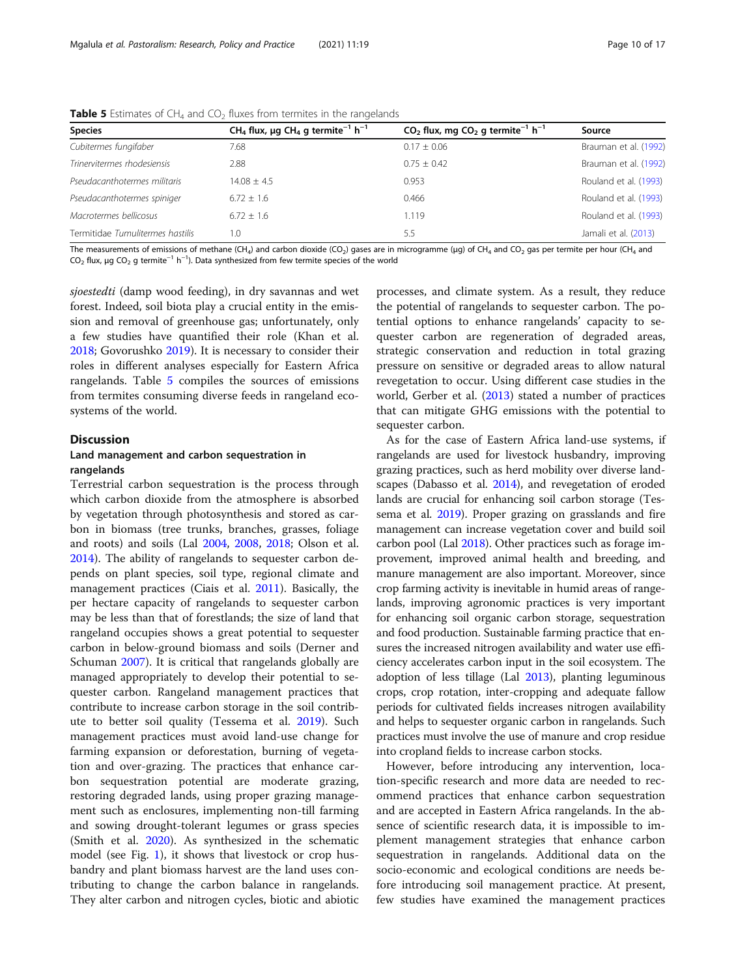| <b>Species</b>                   | CH <sub>4</sub> flux, µg CH <sub>4</sub> g termite <sup>-1</sup> h <sup>-1</sup> | $CO2$ flux, mg $CO2$ g termite <sup>-1</sup> h <sup>-1</sup> | Source                |
|----------------------------------|----------------------------------------------------------------------------------|--------------------------------------------------------------|-----------------------|
| Cubitermes fungifaber            | 7.68                                                                             | $0.17 \pm 0.06$                                              | Brauman et al. (1992) |
| Trinervitermes rhodesiensis      | 2.88                                                                             | $0.75 \pm 0.42$                                              | Brauman et al. (1992) |
| Pseudacanthotermes militaris     | $14.08 + 4.5$                                                                    | 0.953                                                        | Rouland et al. (1993) |
| Pseudacanthotermes spiniger      | $6.72 \pm 1.6$                                                                   | 0.466                                                        | Rouland et al. (1993) |
| Macrotermes bellicosus           | $6.72 \pm 1.6$                                                                   | 1.119                                                        | Rouland et al. (1993) |
| Termitidae Tumulitermes hastilis | 1.0                                                                              | 5.5                                                          | Jamali et al. (2013)  |

<span id="page-9-0"></span>**Table 5** Estimates of CH<sub>4</sub> and CO<sub>2</sub> fluxes from termites in the rangelands

The measurements of emissions of methane (CH<sub>4</sub>) and carbon dioxide (CO<sub>2</sub>) gases are in microgramme (μg) of CH<sub>4</sub> and CO<sub>2</sub> gas per termite per hour (CH<sub>4</sub> and  $\mathsf{CO}_2$  flux,  $\mu$ g CO $_2$  g termite $^{-1}$  h $^{-1}$ ). Data synthesized from few termite species of the world

sjoestedti (damp wood feeding), in dry savannas and wet forest. Indeed, soil biota play a crucial entity in the emission and removal of greenhouse gas; unfortunately, only a few studies have quantified their role (Khan et al. [2018](#page-13-0); Govorushko [2019](#page-12-0)). It is necessary to consider their roles in different analyses especially for Eastern Africa rangelands. Table 5 compiles the sources of emissions from termites consuming diverse feeds in rangeland ecosystems of the world.

#### **Discussion**

#### Land management and carbon sequestration in rangelands

Terrestrial carbon sequestration is the process through which carbon dioxide from the atmosphere is absorbed by vegetation through photosynthesis and stored as carbon in biomass (tree trunks, branches, grasses, foliage and roots) and soils (Lal [2004,](#page-13-0) [2008](#page-13-0), [2018](#page-13-0); Olson et al. [2014](#page-14-0)). The ability of rangelands to sequester carbon depends on plant species, soil type, regional climate and management practices (Ciais et al. [2011\)](#page-11-0). Basically, the per hectare capacity of rangelands to sequester carbon may be less than that of forestlands; the size of land that rangeland occupies shows a great potential to sequester carbon in below-ground biomass and soils (Derner and Schuman [2007\)](#page-12-0). It is critical that rangelands globally are managed appropriately to develop their potential to sequester carbon. Rangeland management practices that contribute to increase carbon storage in the soil contribute to better soil quality (Tessema et al. [2019\)](#page-15-0). Such management practices must avoid land-use change for farming expansion or deforestation, burning of vegetation and over-grazing. The practices that enhance carbon sequestration potential are moderate grazing, restoring degraded lands, using proper grazing management such as enclosures, implementing non-till farming and sowing drought-tolerant legumes or grass species (Smith et al. [2020\)](#page-15-0). As synthesized in the schematic model (see Fig. [1\)](#page-3-0), it shows that livestock or crop husbandry and plant biomass harvest are the land uses contributing to change the carbon balance in rangelands. They alter carbon and nitrogen cycles, biotic and abiotic

processes, and climate system. As a result, they reduce the potential of rangelands to sequester carbon. The potential options to enhance rangelands' capacity to sequester carbon are regeneration of degraded areas, strategic conservation and reduction in total grazing pressure on sensitive or degraded areas to allow natural revegetation to occur. Using different case studies in the world, Gerber et al. [\(2013\)](#page-12-0) stated a number of practices that can mitigate GHG emissions with the potential to sequester carbon.

As for the case of Eastern Africa land-use systems, if rangelands are used for livestock husbandry, improving grazing practices, such as herd mobility over diverse landscapes (Dabasso et al. [2014](#page-12-0)), and revegetation of eroded lands are crucial for enhancing soil carbon storage (Tessema et al. [2019](#page-15-0)). Proper grazing on grasslands and fire management can increase vegetation cover and build soil carbon pool (Lal [2018\)](#page-13-0). Other practices such as forage improvement, improved animal health and breeding, and manure management are also important. Moreover, since crop farming activity is inevitable in humid areas of rangelands, improving agronomic practices is very important for enhancing soil organic carbon storage, sequestration and food production. Sustainable farming practice that ensures the increased nitrogen availability and water use efficiency accelerates carbon input in the soil ecosystem. The adoption of less tillage (Lal [2013\)](#page-13-0), planting leguminous crops, crop rotation, inter-cropping and adequate fallow periods for cultivated fields increases nitrogen availability and helps to sequester organic carbon in rangelands. Such practices must involve the use of manure and crop residue into cropland fields to increase carbon stocks.

However, before introducing any intervention, location-specific research and more data are needed to recommend practices that enhance carbon sequestration and are accepted in Eastern Africa rangelands. In the absence of scientific research data, it is impossible to implement management strategies that enhance carbon sequestration in rangelands. Additional data on the socio-economic and ecological conditions are needs before introducing soil management practice. At present, few studies have examined the management practices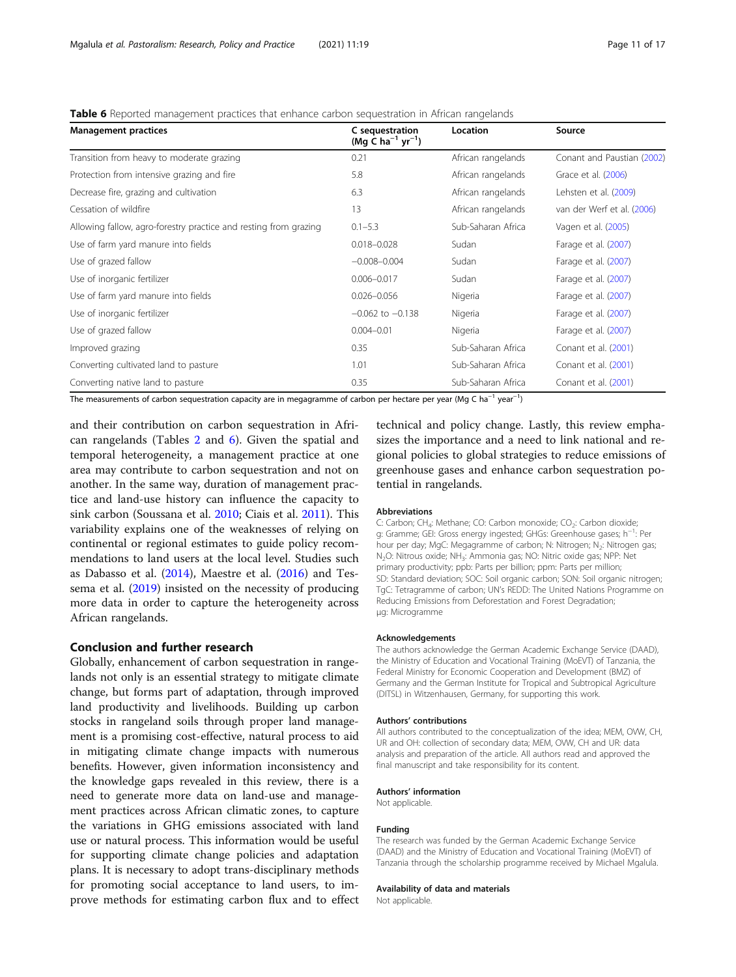|  | <b>Table 6</b> Reported management practices that enhance carbon sequestration in African rangelands |  |  |  |
|--|------------------------------------------------------------------------------------------------------|--|--|--|
|  |                                                                                                      |  |  |  |

| <b>Management practices</b>                                                                                                                                                 | C sequestration<br>$(Mg C ha^{-1} yr^{-1})$ | Location           | Source                     |  |
|-----------------------------------------------------------------------------------------------------------------------------------------------------------------------------|---------------------------------------------|--------------------|----------------------------|--|
| Transition from heavy to moderate grazing                                                                                                                                   | 0.21                                        | African rangelands | Conant and Paustian (2002) |  |
| Protection from intensive grazing and fire                                                                                                                                  | 5.8                                         | African rangelands | Grace et al. (2006)        |  |
| Decrease fire, grazing and cultivation                                                                                                                                      | 6.3                                         | African rangelands | Lehsten et al. (2009)      |  |
| Cessation of wildfire                                                                                                                                                       | 13                                          | African rangelands | van der Werf et al. (2006) |  |
| Allowing fallow, agro-forestry practice and resting from grazing                                                                                                            | $0.1 - 5.3$                                 | Sub-Saharan Africa | Vagen et al. (2005)        |  |
| Use of farm yard manure into fields                                                                                                                                         | $0.018 - 0.028$                             | Sudan              | Farage et al. (2007)       |  |
| Use of grazed fallow                                                                                                                                                        | $-0.008 - 0.004$                            | Sudan              | Farage et al. (2007)       |  |
| Use of inorganic fertilizer                                                                                                                                                 | $0.006 - 0.017$                             | Sudan              | Farage et al. (2007)       |  |
| Use of farm yard manure into fields                                                                                                                                         | $0.026 - 0.056$                             | Nigeria            | Farage et al. (2007)       |  |
| Use of inorganic fertilizer                                                                                                                                                 | $-0.062$ to $-0.138$                        | Nigeria            | Farage et al. (2007)       |  |
| Use of grazed fallow                                                                                                                                                        | $0.004 - 0.01$                              | Nigeria            | Farage et al. (2007)       |  |
| Improved grazing                                                                                                                                                            | 0.35                                        | Sub-Saharan Africa | Conant et al. (2001)       |  |
| Converting cultivated land to pasture                                                                                                                                       | 1.01                                        | Sub-Saharan Africa | Conant et al. (2001)       |  |
| Converting native land to pasture<br>The measurements of cyphon sequestration canadity are in measuremme of carbon nor bectare nor year $(Mg C h^{-1}$ year <sup>-1</sup> ) | 0.35                                        | Sub-Saharan Africa | Conant et al. (2001)       |  |

The measurements of carbon sequestration capacity are in megagramme of carbon per hectare per year (Mg C ha $^{-1}$  year $^{-1}$ )

and their contribution on carbon sequestration in African rangelands (Tables [2](#page-4-0) and 6). Given the spatial and temporal heterogeneity, a management practice at one area may contribute to carbon sequestration and not on another. In the same way, duration of management practice and land-use history can influence the capacity to sink carbon (Soussana et al. [2010](#page-15-0); Ciais et al. [2011\)](#page-11-0). This variability explains one of the weaknesses of relying on continental or regional estimates to guide policy recommendations to land users at the local level. Studies such as Dabasso et al. ([2014](#page-12-0)), Maestre et al. ([2016](#page-13-0)) and Tessema et al. [\(2019\)](#page-15-0) insisted on the necessity of producing more data in order to capture the heterogeneity across African rangelands.

#### Conclusion and further research

Globally, enhancement of carbon sequestration in rangelands not only is an essential strategy to mitigate climate change, but forms part of adaptation, through improved land productivity and livelihoods. Building up carbon stocks in rangeland soils through proper land management is a promising cost-effective, natural process to aid in mitigating climate change impacts with numerous benefits. However, given information inconsistency and the knowledge gaps revealed in this review, there is a need to generate more data on land-use and management practices across African climatic zones, to capture the variations in GHG emissions associated with land use or natural process. This information would be useful for supporting climate change policies and adaptation plans. It is necessary to adopt trans-disciplinary methods for promoting social acceptance to land users, to improve methods for estimating carbon flux and to effect

technical and policy change. Lastly, this review emphasizes the importance and a need to link national and regional policies to global strategies to reduce emissions of greenhouse gases and enhance carbon sequestration potential in rangelands.

#### Abbreviations

C: Carbon; CH<sub>4</sub>: Methane; CO: Carbon monoxide; CO<sub>2</sub>: Carbon dioxide; g: Gramme; GEI: Gross energy ingested; GHGs: Greenhouse gases; h<sup>-1</sup>: Per hour per day; MgC: Megagramme of carbon; N: Nitrogen; N<sub>2</sub>: Nitrogen gas; N<sub>2</sub>O: Nitrous oxide; NH<sub>3</sub>: Ammonia gas; NO: Nitric oxide gas; NPP: Net primary productivity; ppb: Parts per billion; ppm: Parts per million; SD: Standard deviation; SOC: Soil organic carbon; SON: Soil organic nitrogen; TgC: Tetragramme of carbon; UN's REDD: The United Nations Programme on Reducing Emissions from Deforestation and Forest Degradation; μg: Microgramme

#### Acknowledgements

The authors acknowledge the German Academic Exchange Service (DAAD), the Ministry of Education and Vocational Training (MoEVT) of Tanzania, the Federal Ministry for Economic Cooperation and Development (BMZ) of Germany and the German Institute for Tropical and Subtropical Agriculture (DITSL) in Witzenhausen, Germany, for supporting this work.

#### Authors' contributions

All authors contributed to the conceptualization of the idea; MEM, OVW, CH, UR and OH: collection of secondary data; MEM, OVW, CH and UR: data analysis and preparation of the article. All authors read and approved the final manuscript and take responsibility for its content.

#### Authors' information

Not applicable.

#### Funding

The research was funded by the German Academic Exchange Service (DAAD) and the Ministry of Education and Vocational Training (MoEVT) of Tanzania through the scholarship programme received by Michael Mgalula.

#### Availability of data and materials

Not applicable.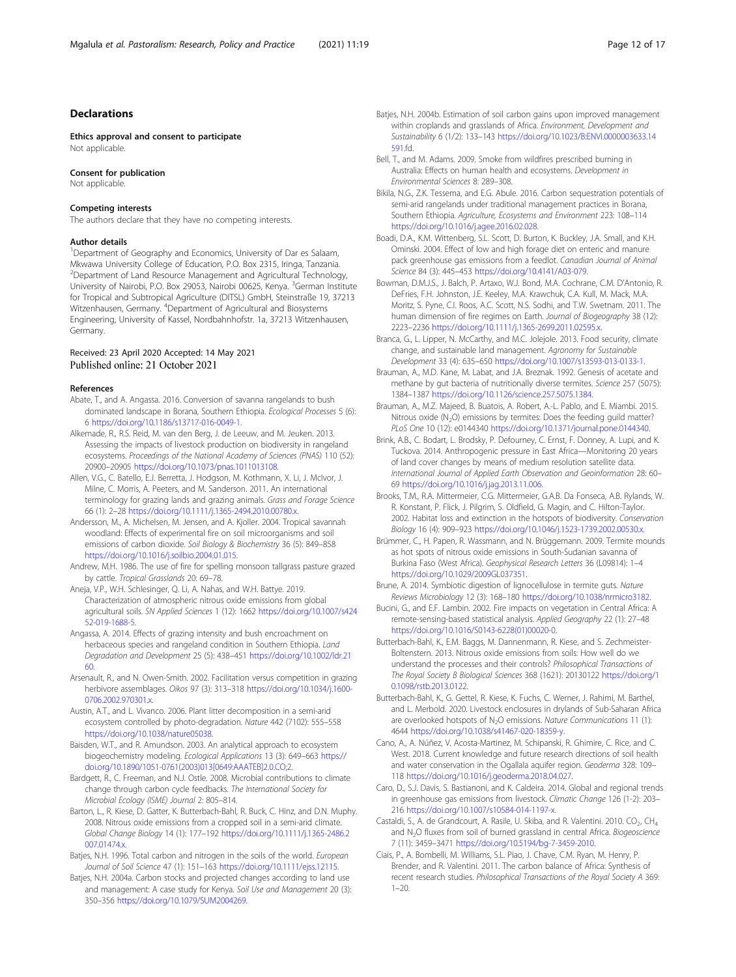#### <span id="page-11-0"></span>Declarations

Ethics approval and consent to participate Not applicable

#### Consent for publication

Not applicable.

#### Competing interests

The authors declare that they have no competing interests.

#### Author details

<sup>1</sup>Department of Geography and Economics, University of Dar es Salaam, Mkwawa University College of Education, P.O. Box 2315, Iringa, Tanzania. <sup>2</sup>Department of Land Resource Management and Agricultural Technology, University of Nairobi, P.O. Box 29053, Nairobi 00625, Kenya. <sup>3</sup>German Institute for Tropical and Subtropical Agriculture (DITSL) GmbH, Steinstraße 19, 37213 Witzenhausen, Germany. <sup>4</sup>Department of Agricultural and Biosystems Engineering, University of Kassel, Nordbahnhofstr. 1a, 37213 Witzenhausen, Germany.

# Received: 23 April 2020 Accepted: 14 May 2021<br>Published online: 21 October 2021

#### References

- Abate, T., and A. Angassa. 2016. Conversion of savanna rangelands to bush dominated landscape in Borana, Southern Ethiopia. Ecological Processes 5 (6): 6 [https://doi.org/10.1186/s13717-016-0049-1.](https://doi.org/10.1186/s13717-016-0049-1)
- Alkemade, R., R.S. Reid, M. van den Berg, J. de Leeuw, and M. Jeuken. 2013. Assessing the impacts of livestock production on biodiversity in rangeland ecosystems. Proceedings of the National Academy of Sciences (PNAS) 110 (52): 20900–20905 <https://doi.org/10.1073/pnas.1011013108>.
- Allen, V.G., C. Batello, E.J. Berretta, J. Hodgson, M. Kothmann, X. Li, J. McIvor, J. Milne, C. Morris, A. Peeters, and M. Sanderson. 2011. An international terminology for grazing lands and grazing animals. Grass and Forage Science 66 (1): 2–28 [https://doi.org/10.1111/j.1365-2494.2010.00780.x.](https://doi.org/10.1111/j.1365-2494.2010.00780.x)
- Andersson, M., A. Michelsen, M. Jensen, and A. Kjoller. 2004. Tropical savannah woodland: Effects of experimental fire on soil microorganisms and soil emissions of carbon dioxide. Soil Biology & Biochemistry 36 (5): 849–858 <https://doi.org/10.1016/j.soilbio.2004.01.015>.
- Andrew, M.H. 1986. The use of fire for spelling monsoon tallgrass pasture grazed by cattle. Tropical Grasslands 20: 69–78.
- Aneja, V.P., W.H. Schlesinger, Q. Li, A. Nahas, and W.H. Battye. 2019. Characterization of atmospheric nitrous oxide emissions from global agricultural soils. SN Applied Sciences 1 (12): 1662 [https://doi.org/10.1007/s424](https://doi.org/10.1007/s42452-019-1688-5) [52-019-1688-5](https://doi.org/10.1007/s42452-019-1688-5).
- Angassa, A. 2014. Effects of grazing intensity and bush encroachment on herbaceous species and rangeland condition in Southern Ethiopia. Land Degradation and Development 25 (5): 438–451 [https://doi.org/10.1002/ldr.21](https://doi.org/10.1002/ldr.2160) [60.](https://doi.org/10.1002/ldr.2160)
- Arsenault, R., and N. Owen-Smith. 2002. Facilitation versus competition in grazing herbivore assemblages. Oikos 97 (3): 313–318 [https://doi.org/10.1034/j.1600-](https://doi.org/10.1034/j.1600-0706.2002.970301.x) [0706.2002.970301.x](https://doi.org/10.1034/j.1600-0706.2002.970301.x).
- Austin, A.T., and L. Vivanco. 2006. Plant litter decomposition in a semi-arid ecosystem controlled by photo-degradation. Nature 442 (7102): 555–558 <https://doi.org/10.1038/nature05038>.
- Baisden, W.T., and R. Amundson. 2003. An analytical approach to ecosystem biogeochemistry modeling. Ecological Applications 13 (3): 649–663 [https://](https://doi.org/10.1890/1051-0761(2003)013[0649:AAATEB]2.0.CO;2) [doi.org/10.1890/1051-0761\(2003\)013\[0649:AAATEB\]2.0.CO;2.](https://doi.org/10.1890/1051-0761(2003)013[0649:AAATEB]2.0.CO;2)
- Bardgett, R., C. Freeman, and N.J. Ostle. 2008. Microbial contributions to climate change through carbon cycle feedbacks. The International Society for Microbial Ecology (ISME) Journal 2: 805–814.
- Barton, L., R. Kiese, D. Gatter, K. Butterbach-Bahl, R. Buck, C. Hinz, and D.N. Muphy. 2008. Nitrous oxide emissions from a cropped soil in a semi-arid climate. Global Change Biology 14 (1): 177–192 [https://doi.org/10.1111/j.1365-2486.2](https://doi.org/10.1111/j.1365-2486.2007.01474.x) [007.01474.x](https://doi.org/10.1111/j.1365-2486.2007.01474.x).
- Batjes, N.H. 1996. Total carbon and nitrogen in the soils of the world. European Journal of Soil Science 47 (1): 151–163 <https://doi.org/10.1111/ejss.12115>.
- Batjes, N.H. 2004a. Carbon stocks and projected changes according to land use and management: A case study for Kenya. Soil Use and Management 20 (3): 350–356 <https://doi.org/10.1079/SUM2004269>.
- Batjes, N.H. 2004b. Estimation of soil carbon gains upon improved management within croplands and grasslands of Africa. Environment, Development and Sustainability 6 (1/2): 133–143 [https://doi.org/10.1023/B:ENVI.0000003633.14](https://doi.org/10.1023/B:ENVI.0000003633.14591.fd) [591.fd.](https://doi.org/10.1023/B:ENVI.0000003633.14591.fd)
- Bell, T., and M. Adams. 2009. Smoke from wildfires prescribed burning in Australia: Effects on human health and ecosystems. Development in Environmental Sciences 8: 289–308.
- Bikila, N.G., Z.K. Tessema, and E.G. Abule. 2016. Carbon sequestration potentials of semi-arid rangelands under traditional management practices in Borana, Southern Ethiopia. Agriculture, Ecosystems and Environment 223: 108–114 [https://doi.org/10.1016/j.agee.2016.02.028.](https://doi.org/10.1016/j.agee.2016.02.028)
- Boadi, D.A., K.M. Wittenberg, S.L. Scott, D. Burton, K. Buckley, J.A. Small, and K.H. Ominski. 2004. Effect of low and high forage diet on enteric and manure pack greenhouse gas emissions from a feedlot. Canadian Journal of Animal Science 84 (3): 445–453 [https://doi.org/10.4141/A03-079.](https://doi.org/10.4141/A03-079)
- Bowman, D.M.J.S., J. Balch, P. Artaxo, W.J. Bond, M.A. Cochrane, C.M. D'Antonio, R. DeFries, F.H. Johnston, J.E. Keeley, M.A. Krawchuk, C.A. Kull, M. Mack, M.A. Moritz, S. Pyne, C.I. Roos, A.C. Scott, N.S. Sodhi, and T.W. Swetnam. 2011. The human dimension of fire regimes on Earth. Journal of Biogeography 38 (12): 2223–2236 <https://doi.org/10.1111/j.1365-2699.2011.02595.x>.
- Branca, G., L. Lipper, N. McCarthy, and M.C. Jolejole. 2013. Food security, climate change, and sustainable land management. Agronomy for Sustainable Development 33 (4): 635–650 <https://doi.org/10.1007/s13593-013-0133-1>.
- Brauman, A., M.D. Kane, M. Labat, and J.A. Breznak. 1992. Genesis of acetate and methane by gut bacteria of nutritionally diverse termites. Science 257 (5075): 1384–1387 [https://doi.org/10.1126/science.257.5075.1384.](https://doi.org/10.1126/science.257.5075.1384)
- Brauman, A., M.Z. Majeed, B. Buatois, A. Robert, A.-L. Pablo, and E. Miambi. 2015. Nitrous oxide  $(N_2O)$  emissions by termites: Does the feeding guild matter? PLoS One 10 (12): e0144340 <https://doi.org/10.1371/journal.pone.0144340>.
- Brink, A.B., C. Bodart, L. Brodsky, P. Defourney, C. Ernst, F. Donney, A. Lupi, and K. Tuckova. 2014. Anthropogenic pressure in East Africa—Monitoring 20 years of land cover changes by means of medium resolution satellite data. International Journal of Applied Earth Observation and Geoinformation 28: 60– 69 <https://doi.org/10.1016/j.jag.2013.11.006>.
- Brooks, T.M., R.A. Mittermeier, C.G. Mittermeier, G.A.B. Da Fonseca, A.B. Rylands, W. R. Konstant, P. Flick, J. Pilgrim, S. Oldfield, G. Magin, and C. Hilton-Taylor. 2002. Habitat loss and extinction in the hotspots of biodiversity. Conservation Biology 16 (4): 909–923 [https://doi.org/10.1046/j.1523-1739.2002.00530.x.](https://doi.org/10.1046/j.1523-1739.2002.00530.x)
- Brümmer, C., H. Papen, R. Wassmann, and N. Brüggemann. 2009. Termite mounds as hot spots of nitrous oxide emissions in South-Sudanian savanna of Burkina Faso (West Africa). Geophysical Research Letters 36 (L09814): 1–4 [https://doi.org/10.1029/2009GL037351.](https://doi.org/10.1029/2009GL037351)

Brune, A. 2014. Symbiotic digestion of lignocellulose in termite guts. Nature Reviews Microbiology 12 (3): 168–180 [https://doi.org/10.1038/nrmicro3182.](https://doi.org/10.1038/nrmicro3182)

- Bucini, G., and E.F. Lambin. 2002. Fire impacts on vegetation in Central Africa: A remote-sensing-based statistical analysis. Applied Geography 22 (1): 27–48 [https://doi.org/10.1016/S0143-6228\(01\)00020-0.](https://doi.org/10.1016/S0143-6228(01)00020-0)
- Butterbach-Bahl, K., E.M. Baggs, M. Dannenmann, R. Kiese, and S. Zechmeister-Boltenstern. 2013. Nitrous oxide emissions from soils: How well do we understand the processes and their controls? Philosophical Transactions of The Royal Society B Biological Sciences 368 (1621): 20130122 [https://doi.org/1](https://doi.org/10.1098/rstb.2013.0122) [0.1098/rstb.2013.0122.](https://doi.org/10.1098/rstb.2013.0122)
- Butterbach-Bahl, K., G. Gettel, R. Kiese, K. Fuchs, C. Werner, J. Rahimi, M. Barthel, and L. Merbold. 2020. Livestock enclosures in drylands of Sub-Saharan Africa are overlooked hotspots of N<sub>2</sub>O emissions. Nature Communications 11 (1): 4644 <https://doi.org/10.1038/s41467-020-18359-y>.
- Cano, A., A. Núñez, V. Acosta-Martinez, M. Schipanski, R. Ghimire, C. Rice, and C. West. 2018. Current knowledge and future research directions of soil health and water conservation in the Ogallala aquifer region. Geoderma 328: 109– 118 [https://doi.org/10.1016/j.geoderma.2018.04.027.](https://doi.org/10.1016/j.geoderma.2018.04.027)
- Caro, D., S.J. Davis, S. Bastianoni, and K. Caldeira. 2014. Global and regional trends in greenhouse gas emissions from livestock. Climatic Change 126 (1-2): 203– 216 <https://doi.org/10.1007/s10584-014-1197-x>.
- Castaldi, S., A. de Grandcourt, A. Rasile, U. Skiba, and R. Valentini. 2010. CO<sub>2</sub>, CH<sub>4</sub> and N<sub>2</sub>O fluxes from soil of burned grassland in central Africa. Biogeoscience 7 (11): 3459–3471 [https://doi.org/10.5194/bg-7-3459-2010.](https://doi.org/10.5194/bg-7-3459-2010)
- Ciais, P., A. Bombelli, M. Williams, S.L. Piao, J. Chave, C.M. Ryan, M. Henry, P. Brender, and R. Valentini. 2011. The carbon balance of Africa: Synthesis of recent research studies. Philosophical Transactions of the Royal Society A 369:  $1 - 20.$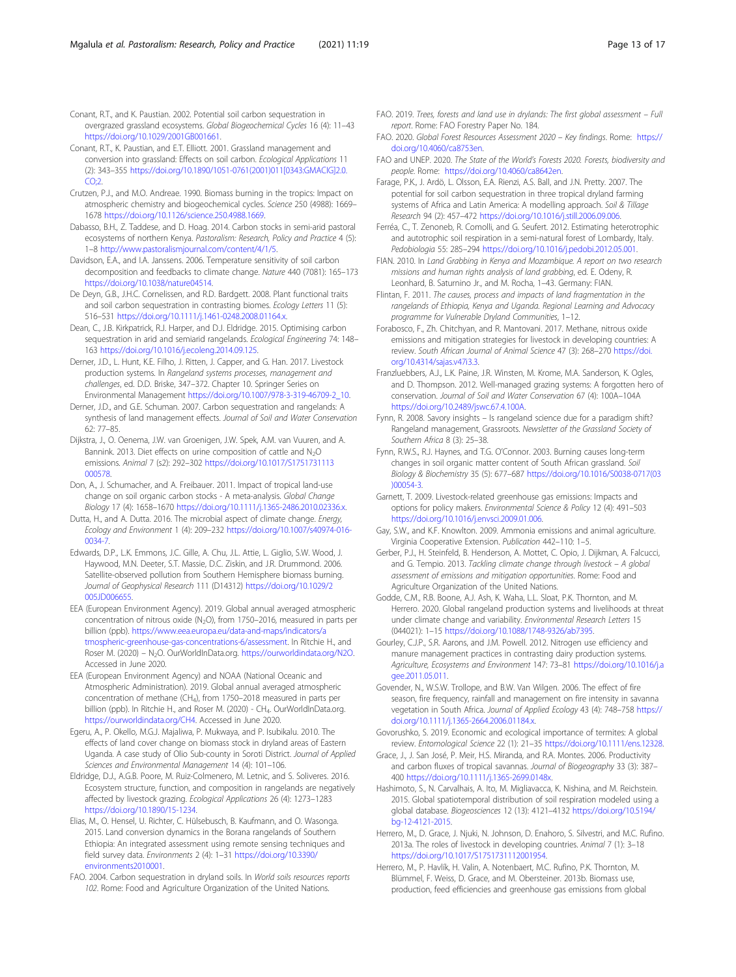<span id="page-12-0"></span>Conant, R.T., and K. Paustian. 2002. Potential soil carbon sequestration in overgrazed grassland ecosystems. Global Biogeochemical Cycles 16 (4): 11–43 [https://doi.org/10.1029/2001GB001661.](https://doi.org/10.1029/2001GB001661)

Conant, R.T., K. Paustian, and E.T. Elliott. 2001. Grassland management and conversion into grassland: Effects on soil carbon. Ecological Applications 11 (2): 343–355 [https://doi.org/10.1890/1051-0761\(2001\)011\[0343:GMACIG\]2.0.](https://doi.org/10.1890/1051-0761(2001)011[0343:GMACIG]2.0.CO;2) [CO;2](https://doi.org/10.1890/1051-0761(2001)011[0343:GMACIG]2.0.CO;2).

- Crutzen, P.J., and M.O. Andreae. 1990. Biomass burning in the tropics: Impact on atmospheric chemistry and biogeochemical cycles. Science 250 (4988): 1669– 1678 [https://doi.org/10.1126/science.250.4988.1669.](https://doi.org/10.1126/science.250.4988.1669)
- Dabasso, B.H., Z. Taddese, and D. Hoag. 2014. Carbon stocks in semi-arid pastoral ecosystems of northern Kenya. Pastoralism: Research, Policy and Practice 4 (5): 1–8 [http://www.pastoralismjournal.com/content/4/1/5.](http://www.pastoralismjournal.com/content/4/1/5)
- Davidson, E.A., and I.A. Janssens. 2006. Temperature sensitivity of soil carbon decomposition and feedbacks to climate change. Nature 440 (7081): 165–173 <https://doi.org/10.1038/nature04514>.
- De Deyn, G.B., J.H.C. Cornelissen, and R.D. Bardgett. 2008. Plant functional traits and soil carbon sequestration in contrasting biomes. Ecology Letters 11 (5): 516–531 <https://doi.org/10.1111/j.1461-0248.2008.01164.x>.
- Dean, C., J.B. Kirkpatrick, R.J. Harper, and D.J. Eldridge. 2015. Optimising carbon sequestration in arid and semiarid rangelands. Ecological Engineering 74: 148– 163 <https://doi.org/10.1016/j.ecoleng.2014.09.125>.
- Derner, J.D., L. Hunt, K.E. Filho, J. Ritten, J. Capper, and G. Han. 2017. Livestock production systems. In Rangeland systems processes, management and challenges, ed. D.D. Briske, 347–372. Chapter 10. Springer Series on Environmental Management [https://doi.org/10.1007/978-3-319-46709-2\\_10.](https://doi.org/10.1007/978-3-319-46709-2_10)
- Derner, J.D., and G.E. Schuman. 2007. Carbon sequestration and rangelands: A synthesis of land management effects. Journal of Soil and Water Conservation 62: 77–85.
- Dijkstra, J., O. Oenema, J.W. van Groenigen, J.W. Spek, A.M. van Vuuren, and A. Bannink. 2013. Diet effects on urine composition of cattle and  $N_2O$ emissions. Animal 7 (s2): 292–302 [https://doi.org/10.1017/S1751731113](https://doi.org/10.1017/S1751731113000578) [000578](https://doi.org/10.1017/S1751731113000578).
- Don, A., J. Schumacher, and A. Freibauer. 2011. Impact of tropical land-use change on soil organic carbon stocks - A meta-analysis. Global Change Biology 17 (4): 1658–1670 [https://doi.org/10.1111/j.1365-2486.2010.02336.x.](https://doi.org/10.1111/j.1365-2486.2010.02336.x)
- Dutta, H., and A. Dutta. 2016. The microbial aspect of climate change. Energy, Ecology and Environment 1 (4): 209–232 [https://doi.org/10.1007/s40974-016-](https://doi.org/10.1007/s40974-016-0034-7) [0034-7.](https://doi.org/10.1007/s40974-016-0034-7)
- Edwards, D.P., L.K. Emmons, J.C. Gille, A. Chu, J.L. Attie, L. Giglio, S.W. Wood, J. Haywood, M.N. Deeter, S.T. Massie, D.C. Ziskin, and J.R. Drummond. 2006. Satellite-observed pollution from Southern Hemisphere biomass burning. Journal of Geophysical Research 111 (D14312) [https://doi.org/10.1029/2](https://doi.org/10.1029/2005JD006655) [005JD006655](https://doi.org/10.1029/2005JD006655)
- EEA (European Environment Agency). 2019. Global annual averaged atmospheric concentration of nitrous oxide (N<sub>2</sub>O), from 1750–2016, measured in parts per billion (ppb). [https://www.eea.europa.eu/data-and-maps/indicators/a](https://www.eea.europa.eu/data-and-maps/indicators/atmospheric-greenhouse-gas-concentrations-6/assessment) [tmospheric-greenhouse-gas-concentrations-6/assessment.](https://www.eea.europa.eu/data-and-maps/indicators/atmospheric-greenhouse-gas-concentrations-6/assessment) In Ritchie H., and Roser M. (2020) – N<sub>2</sub>O. OurWorldInData.org. [https://ourworldindata.org/N2O.](https://ourworldindata.org/N2O) Accessed in June 2020.
- EEA (European Environment Agency) and NOAA (National Oceanic and Atmospheric Administration). 2019. Global annual averaged atmospheric concentration of methane (CH<sub>4</sub>), from 1750–2018 measured in parts per billion (ppb). In Ritchie H., and Roser M. (2020) - CH<sub>4</sub>. OurWorldInData.org. <https://ourworldindata.org/CH4>. Accessed in June 2020.
- Egeru, A., P. Okello, M.G.J. Majaliwa, P. Mukwaya, and P. Isubikalu. 2010. The effects of land cover change on biomass stock in dryland areas of Eastern Uganda. A case study of Olio Sub-county in Soroti District. Journal of Applied Sciences and Environmental Management 14 (4): 101–106.
- Eldridge, D.J., A.G.B. Poore, M. Ruiz-Colmenero, M. Letnic, and S. Soliveres. 2016. Ecosystem structure, function, and composition in rangelands are negatively affected by livestock grazing. Ecological Applications 26 (4): 1273–1283 <https://doi.org/10.1890/15-1234>.
- Elias, M., O. Hensel, U. Richter, C. Hülsebusch, B. Kaufmann, and O. Wasonga. 2015. Land conversion dynamics in the Borana rangelands of Southern Ethiopia: An integrated assessment using remote sensing techniques and field survey data. Environments 2 (4): 1–31 [https://doi.org/10.3390/](https://doi.org/10.3390/environments2010001) [environments2010001.](https://doi.org/10.3390/environments2010001)
- FAO. 2004. Carbon sequestration in dryland soils. In World soils resources reports 102. Rome: Food and Agriculture Organization of the United Nations.
- FAO. 2019. Trees, forests and land use in drylands: The first global assessment Full report. Rome: FAO Forestry Paper No. 184.
- FAO. 2020. Global Forest Resources Assessment 2020 Key findings. Rome: [https://](https://doi.org/10.4060/ca8753en) [doi.org/10.4060/ca8753en](https://doi.org/10.4060/ca8753en).
- FAO and UNEP. 2020. The State of the World's Forests 2020. Forests, biodiversity and people. Rome: <https://doi.org/10.4060/ca8642en>.
- Farage, P.K., J. Ardö, L. Olsson, E.A. Rienzi, A.S. Ball, and J.N. Pretty. 2007. The potential for soil carbon sequestration in three tropical dryland farming systems of Africa and Latin America: A modelling approach. Soil & Tillage Research 94 (2): 457–472 [https://doi.org/10.1016/j.still.2006.09.006.](https://doi.org/10.1016/j.still.2006.09.006)
- Ferréa, C., T. Zenoneb, R. Comolli, and G. Seufert. 2012. Estimating heterotrophic and autotrophic soil respiration in a semi-natural forest of Lombardy, Italy. Pedobiologia 55: 285–294 <https://doi.org/10.1016/j.pedobi.2012.05.001>.
- FIAN. 2010. In Land Grabbing in Kenya and Mozambique. A report on two research missions and human rights analysis of land grabbing, ed. E. Odeny, R. Leonhard, B. Saturnino Jr., and M. Rocha, 1–43. Germany: FIAN.
- Flintan, F. 2011. The causes, process and impacts of land fragmentation in the rangelands of Ethiopia, Kenya and Uganda. Regional Learning and Advocacy programme for Vulnerable Dryland Communities, 1–12.
- Forabosco, F., Zh. Chitchyan, and R. Mantovani. 2017. Methane, nitrous oxide emissions and mitigation strategies for livestock in developing countries: A review. South African Journal of Animal Science 47 (3): 268–270 [https://doi.](https://doi.org/10.4314/sajas.v47i3.3) [org/10.4314/sajas.v47i3.3.](https://doi.org/10.4314/sajas.v47i3.3)
- Franzluebbers, A.J., L.K. Paine, J.R. Winsten, M. Krome, M.A. Sanderson, K. Ogles, and D. Thompson. 2012. Well-managed grazing systems: A forgotten hero of conservation. Journal of Soil and Water Conservation 67 (4): 100A–104A <https://doi.org/10.2489/jswc.67.4.100A>.
- Fynn, R. 2008. Savory insights Is rangeland science due for a paradigm shift? Rangeland management, Grassroots. Newsletter of the Grassland Society of Southern Africa 8 (3): 25–38.
- Fynn, R.W.S., R.J. Haynes, and T.G. O'Connor. 2003. Burning causes long-term changes in soil organic matter content of South African grassland. Soil Biology & Biochemistry 35 (5): 677–687 [https://doi.org/10.1016/S0038-0717\(03](https://doi.org/10.1016/S0038-0717(03)00054-3) [\)00054-3](https://doi.org/10.1016/S0038-0717(03)00054-3).
- Garnett, T. 2009. Livestock-related greenhouse gas emissions: Impacts and options for policy makers. Environmental Science & Policy 12 (4): 491–503 <https://doi.org/10.1016/j.envsci.2009.01.006>.
- Gay, S.W., and K.F. Knowlton. 2009. Ammonia emissions and animal agriculture. Virginia Cooperative Extension. Publication 442–110: 1–5.
- Gerber, P.J., H. Steinfeld, B. Henderson, A. Mottet, C. Opio, J. Dijkman, A. Falcucci, and G. Tempio. 2013. Tackling climate change through livestock – A global assessment of emissions and mitigation opportunities. Rome: Food and Agriculture Organization of the United Nations.
- Godde, C.M., R.B. Boone, A.J. Ash, K. Waha, L.L. Sloat, P.K. Thornton, and M. Herrero. 2020. Global rangeland production systems and livelihoods at threat under climate change and variability. Environmental Research Letters 15 (044021): 1–15 [https://doi.org/10.1088/1748-9326/ab7395.](https://doi.org/10.1088/1748-9326/ab7395)
- Gourley, C.J.P., S.R. Aarons, and J.M. Powell. 2012. Nitrogen use efficiency and manure management practices in contrasting dairy production systems. Agriculture, Ecosystems and Environment 147: 73–81 [https://doi.org/10.1016/j.a](https://doi.org/10.1016/j.agee.2011.05.011) [gee.2011.05.011.](https://doi.org/10.1016/j.agee.2011.05.011)
- Govender, N., W.S.W. Trollope, and B.W. Van Wilgen. 2006. The effect of fire season, fire frequency, rainfall and management on fire intensity in savanna vegetation in South Africa. Journal of Applied Ecology 43 (4): 748–758 [https://](https://doi.org/10.1111/j.1365-2664.2006.01184.x) [doi.org/10.1111/j.1365-2664.2006.01184.x.](https://doi.org/10.1111/j.1365-2664.2006.01184.x)
- Govorushko, S. 2019. Economic and ecological importance of termites: A global review. Entomological Science 22 (1): 21–35 <https://doi.org/10.1111/ens.12328>.
- Grace, J., J. San José, P. Meir, H.S. Miranda, and R.A. Montes. 2006. Productivity and carbon fluxes of tropical savannas. Journal of Biogeography 33 (3): 387– 400 <https://doi.org/10.1111/j.1365-2699.0148x>.
- Hashimoto, S., N. Carvalhais, A. Ito, M. Migliavacca, K. Nishina, and M. Reichstein. 2015. Global spatiotemporal distribution of soil respiration modeled using a global database. Biogeosciences 12 (13): 4121–4132 [https://doi.org/10.5194/](https://doi.org/10.5194/bg-12-4121-2015) [bg-12-4121-2015.](https://doi.org/10.5194/bg-12-4121-2015)
- Herrero, M., D. Grace, J. Njuki, N. Johnson, D. Enahoro, S. Silvestri, and M.C. Rufino. 2013a. The roles of livestock in developing countries. Animal 7 (1): 3–18 [https://doi.org/10.1017/S1751731112001954.](https://doi.org/10.1017/S1751731112001954)
- Herrero, M., P. Havlík, H. Valin, A. Notenbaert, M.C. Rufino, P.K. Thornton, M. Blümmel, F. Weiss, D. Grace, and M. Obersteiner. 2013b. Biomass use, production, feed efficiencies and greenhouse gas emissions from global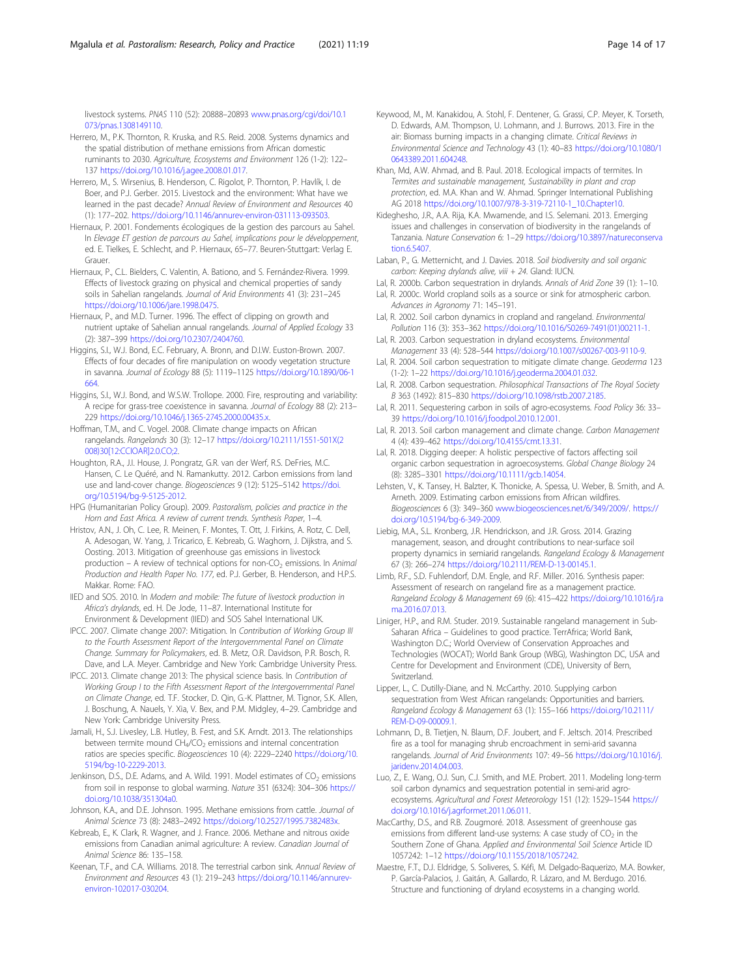<span id="page-13-0"></span>livestock systems. PNAS 110 (52): 20888–20893 [www.pnas.org/cgi/doi/10.1](http://www.pnas.org/cgi/doi/10.1073/pnas.1308149110) [073/pnas.1308149110](http://www.pnas.org/cgi/doi/10.1073/pnas.1308149110).

- Herrero, M., P.K. Thornton, R. Kruska, and R.S. Reid. 2008. Systems dynamics and the spatial distribution of methane emissions from African domestic ruminants to 2030. Agriculture, Ecosystems and Environment 126 (1-2): 122– 137 <https://doi.org/10.1016/j.agee.2008.01.017>.
- Herrero, M., S. Wirsenius, B. Henderson, C. Rigolot, P. Thornton, P. Havlík, I. de Boer, and P.J. Gerber. 2015. Livestock and the environment: What have we learned in the past decade? Annual Review of Environment and Resources 40 (1): 177–202. [https://doi.org/10.1146/annurev-environ-031113-093503.](https://doi.org/10.1146/annurev-environ-031113-093503)
- Hiernaux, P. 2001. Fondements écologiques de la gestion des parcours au Sahel. In Elevage ET gestion de parcours au Sahel, implications pour le développement, ed. E. Tielkes, E. Schlecht, and P. Hiernaux, 65–77. Beuren-Stuttgart: Verlag E. Graue
- Hiernaux, P., C.L. Bielders, C. Valentin, A. Bationo, and S. Fernández-Rivera. 1999. Effects of livestock grazing on physical and chemical properties of sandy soils in Sahelian rangelands. Journal of Arid Environments 41 (3): 231–245 [https://doi.org/10.1006/jare.1998.0475.](https://doi.org/10.1006/jare.1998.0475)
- Hiernaux, P., and M.D. Turner. 1996. The effect of clipping on growth and nutrient uptake of Sahelian annual rangelands. Journal of Applied Ecology 33 (2): 387–399 <https://doi.org/10.2307/2404760>.
- Higgins, S.I., W.J. Bond, E.C. February, A. Bronn, and D.I.W. Euston-Brown. 2007. Effects of four decades of fire manipulation on woody vegetation structure in savanna. Journal of Ecology 88 (5): 1119–1125 [https://doi.org/10.1890/06-1](https://doi.org/10.1890/06-1664) [664.](https://doi.org/10.1890/06-1664)
- Higgins, S.I., W.J. Bond, and W.S.W. Trollope. 2000. Fire, resprouting and variability: A recipe for grass-tree coexistence in savanna. Journal of Ecology 88 (2): 213– 229 [https://doi.org/10.1046/j.1365-2745.2000.00435.x.](https://doi.org/10.1046/j.1365-2745.2000.00435.x)
- Hoffman, T.M., and C. Vogel. 2008. Climate change impacts on African rangelands. Rangelands 30 (3): 12–17 [https://doi.org/10.2111/1551-501X\(2](https://doi.org/10.2111/1551-501X(2008)30[12:CCIOAR]2.0.CO;2) [008\)30\[12:CCIOAR\]2.0.CO;2.](https://doi.org/10.2111/1551-501X(2008)30[12:CCIOAR]2.0.CO;2)
- Houghton, R.A., J.I. House, J. Pongratz, G.R. van der Werf, R.S. DeFries, M.C. Hansen, C. Le Quéré, and N. Ramankutty. 2012. Carbon emissions from land use and land-cover change. Biogeosciences 9 (12): 5125–5142 [https://doi.](https://doi.org/10.5194/bg-9-5125-2012) [org/10.5194/bg-9-5125-2012.](https://doi.org/10.5194/bg-9-5125-2012)
- HPG (Humanitarian Policy Group). 2009. Pastoralism, policies and practice in the Horn and East Africa. A review of current trends. Synthesis Paper, 1–4.
- Hristov, A.N., J. Oh, C. Lee, R. Meinen, F. Montes, T. Ott, J. Firkins, A. Rotz, C. Dell, A. Adesogan, W. Yang, J. Tricarico, E. Kebreab, G. Waghorn, J. Dijkstra, and S. Oosting. 2013. Mitigation of greenhouse gas emissions in livestock production – A review of technical options for non-CO<sub>2</sub> emissions. In Animal Production and Health Paper No. 177, ed. P.J. Gerber, B. Henderson, and H.P.S. Makkar. Rome: FAO.
- IIED and SOS. 2010. In Modern and mobile: The future of livestock production in Africa's drylands, ed. H. De Jode, 11–87. International Institute for Environment & Development (IIED) and SOS Sahel International UK.
- IPCC. 2007. Climate change 2007: Mitigation. In Contribution of Working Group III to the Fourth Assessment Report of the Intergovernmental Panel on Climate Change. Summary for Policymakers, ed. B. Metz, O.R. Davidson, P.R. Bosch, R. Dave, and L.A. Meyer. Cambridge and New York: Cambridge University Press.
- IPCC. 2013. Climate change 2013: The physical science basis. In Contribution of Working Group I to the Fifth Assessment Report of the Intergovernmental Panel on Climate Change, ed. T.F. Stocker, D. Qin, G.-K. Plattner, M. Tignor, S.K. Allen, J. Boschung, A. Nauels, Y. Xia, V. Bex, and P.M. Midgley, 4–29. Cambridge and New York: Cambridge University Press.
- Jamali, H., S.J. Livesley, L.B. Hutley, B. Fest, and S.K. Arndt. 2013. The relationships between termite mound  $CH<sub>4</sub>/CO<sub>2</sub>$  emissions and internal concentration ratios are species specific. Biogeosciences 10 (4): 2229–2240 [https://doi.org/10.](https://doi.org/10.5194/bg-10-2229-2013) [5194/bg-10-2229-2013.](https://doi.org/10.5194/bg-10-2229-2013)
- Jenkinson, D.S., D.E. Adams, and A. Wild. 1991. Model estimates of  $CO<sub>2</sub>$  emissions from soil in response to global warming. Nature 351 (6324): 304–306 [https://](https://doi.org/10.1038/351304a0) [doi.org/10.1038/351304a0](https://doi.org/10.1038/351304a0).
- Johnson, K.A., and D.E. Johnson. 1995. Methane emissions from cattle. Journal of Animal Science 73 (8): 2483–2492 [https://doi.org/10.2527/1995.7382483x.](https://doi.org/10.2527/1995.7382483x)
- Kebreab, E., K. Clark, R. Wagner, and J. France. 2006. Methane and nitrous oxide emissions from Canadian animal agriculture: A review. Canadian Journal of Animal Science 86: 135–158.
- Keenan, T.F., and C.A. Williams. 2018. The terrestrial carbon sink. Annual Review of Environment and Resources 43 (1): 219–243 [https://doi.org/10.1146/annurev](https://doi.org/10.1146/annurev-environ-102017-030204)[environ-102017-030204](https://doi.org/10.1146/annurev-environ-102017-030204).
- Keywood, M., M. Kanakidou, A. Stohl, F. Dentener, G. Grassi, C.P. Meyer, K. Torseth, D. Edwards, A.M. Thompson, U. Lohmann, and J. Burrows. 2013. Fire in the air: Biomass burning impacts in a changing climate. Critical Reviews in Environmental Science and Technology 43 (1): 40–83 [https://doi.org/10.1080/1](https://doi.org/10.1080/10643389.2011.604248) [0643389.2011.604248](https://doi.org/10.1080/10643389.2011.604248).
- Khan, Md, A.W. Ahmad, and B. Paul. 2018. Ecological impacts of termites. In Termites and sustainable management, Sustainability in plant and crop protection, ed. M.A. Khan and W. Ahmad. Springer International Publishing AG 2018 [https://doi.org/10.1007/978-3-319-72110-1\\_10.Chapter10.](https://doi.org/10.1007/978-3-319-72110-1_10.Chapter10)
- Kideghesho, J.R., A.A. Rija, K.A. Mwamende, and I.S. Selemani. 2013. Emerging issues and challenges in conservation of biodiversity in the rangelands of Tanzania. Nature Conservation 6: 1–29 [https://doi.org/10.3897/natureconserva](https://doi.org/10.3897/natureconservation.6.5407) [tion.6.5407](https://doi.org/10.3897/natureconservation.6.5407).
- Laban, P., G. Metternicht, and J. Davies. 2018. Soil biodiversity and soil organic carbon: Keeping drylands alive, viii + 24. Gland: IUCN.
- Lal, R. 2000b. Carbon sequestration in drylands. Annals of Arid Zone 39 (1): 1–10.
- Lal, R. 2000c. World cropland soils as a source or sink for atmospheric carbon. Advances in Agronomy 71: 145–191.
- Lal, R. 2002. Soil carbon dynamics in cropland and rangeland. Environmental Pollution 116 (3): 353–362 [https://doi.org/10.1016/S0269-7491\(01\)00211-1.](https://doi.org/10.1016/S0269-7491(01)00211-1)
- Lal, R. 2003. Carbon sequestration in dryland ecosystems. Environmental Management 33 (4): 528–544 [https://doi.org/10.1007/s00267-003-9110-9.](https://doi.org/10.1007/s00267-003-9110-9)
- Lal, R. 2004. Soil carbon sequestration to mitigate climate change. Geoderma 123 (1-2): 1–22 <https://doi.org/10.1016/j.geoderma.2004.01.032>.
- Lal, R. 2008. Carbon sequestration. Philosophical Transactions of The Royal Society B 363 (1492): 815–830 <https://doi.org/10.1098/rstb.2007.2185>.
- Lal, R. 2011. Sequestering carbon in soils of agro-ecosystems. Food Policy 36: 33– 39 <https://doi.org/10.1016/j.foodpol.2010.12.001>.
- Lal, R. 2013. Soil carbon management and climate change. Carbon Management 4 (4): 439–462 <https://doi.org/10.4155/cmt.13.31>.
- Lal, R. 2018. Digging deeper: A holistic perspective of factors affecting soil organic carbon sequestration in agroecosystems. Global Change Biology 24 (8): 3285–3301 <https://doi.org/10.1111/gcb.14054>.
- Lehsten, V., K. Tansey, H. Balzter, K. Thonicke, A. Spessa, U. Weber, B. Smith, and A. Arneth. 2009. Estimating carbon emissions from African wildfires. Biogeosciences 6 (3): 349–360 [www.biogeosciences.net/6/349/2009/](http://www.biogeosciences.net/6/349/2009/). [https://](https://doi.org/10.5194/bg-6-349-2009) [doi.org/10.5194/bg-6-349-2009.](https://doi.org/10.5194/bg-6-349-2009)
- Liebig, M.A., S.L. Kronberg, J.R. Hendrickson, and J.R. Gross. 2014. Grazing management, season, and drought contributions to near-surface soil property dynamics in semiarid rangelands. Rangeland Ecology & Management 67 (3): 266–274 <https://doi.org/10.2111/REM-D-13-00145.1>.
- Limb, R.F., S.D. Fuhlendorf, D.M. Engle, and R.F. Miller. 2016. Synthesis paper: Assessment of research on rangeland fire as a management practice. Rangeland Ecology & Management 69 (6): 415–422 [https://doi.org/10.1016/j.ra](https://doi.org/10.1016/j.rama.2016.07.013) [ma.2016.07.013.](https://doi.org/10.1016/j.rama.2016.07.013)
- Liniger, H.P., and R.M. Studer. 2019. Sustainable rangeland management in Sub-Saharan Africa – Guidelines to good practice. TerrAfrica; World Bank, Washington D.C.; World Overview of Conservation Approaches and Technologies (WOCAT); World Bank Group (WBG), Washington DC, USA and Centre for Development and Environment (CDE), University of Bern, Switzerland.
- Lipper, L., C. Dutilly-Diane, and N. McCarthy. 2010. Supplying carbon sequestration from West African rangelands: Opportunities and barriers. Rangeland Ecology & Management 63 (1): 155–166 [https://doi.org/10.2111/](https://doi.org/10.2111/REM-D-09-00009.1) [REM-D-09-00009.1](https://doi.org/10.2111/REM-D-09-00009.1).
- Lohmann, D., B. Tietjen, N. Blaum, D.F. Joubert, and F. Jeltsch. 2014. Prescribed fire as a tool for managing shrub encroachment in semi-arid savanna rangelands. Journal of Arid Environments 107: 49–56 [https://doi.org/10.1016/j.](https://doi.org/10.1016/j.jaridenv.2014.04.003) [jaridenv.2014.04.003](https://doi.org/10.1016/j.jaridenv.2014.04.003).
- Luo, Z., E. Wang, O.J. Sun, C.J. Smith, and M.E. Probert. 2011. Modeling long-term soil carbon dynamics and sequestration potential in semi-arid agroecosystems. Agricultural and Forest Meteorology 151 (12): 1529–1544 [https://](https://doi.org/10.1016/j.agrformet.2011.06.011) [doi.org/10.1016/j.agrformet.2011.06.011](https://doi.org/10.1016/j.agrformet.2011.06.011).
- MacCarthy, D.S., and R.B. Zougmoré. 2018. Assessment of greenhouse gas emissions from different land-use systems: A case study of  $CO<sub>2</sub>$  in the Southern Zone of Ghana. Applied and Environmental Soil Science Article ID 1057242: 1–12 <https://doi.org/10.1155/2018/1057242>.
- Maestre, F.T., D.J. Eldridge, S. Soliveres, S. Kéfi, M. Delgado-Baquerizo, M.A. Bowker, P. García-Palacios, J. Gaitán, A. Gallardo, R. Lázaro, and M. Berdugo. 2016. Structure and functioning of dryland ecosystems in a changing world.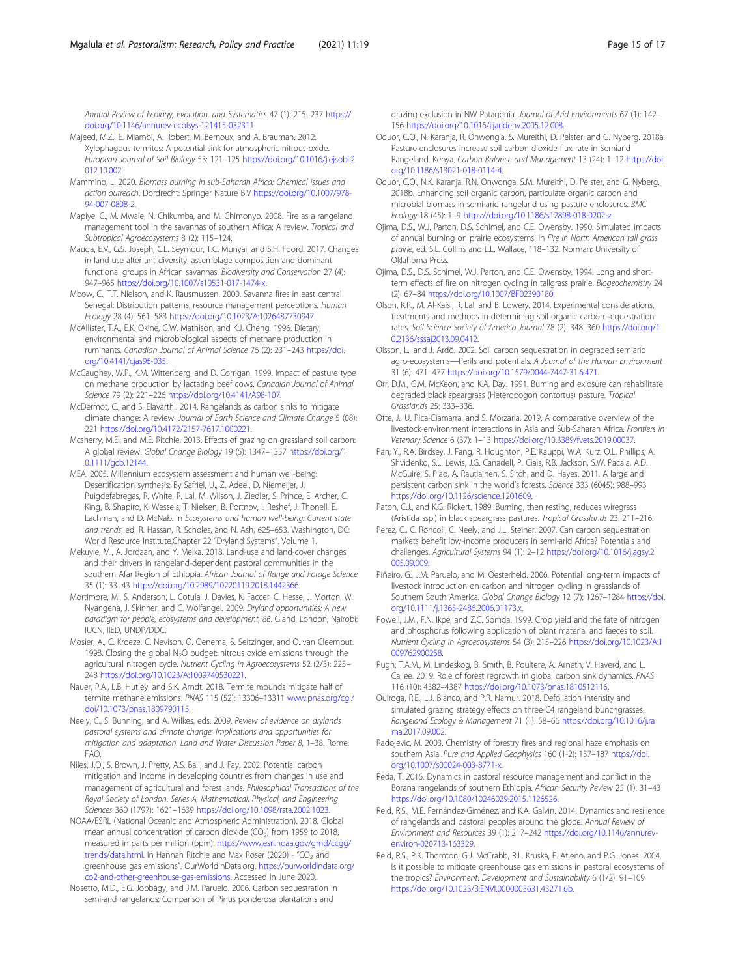<span id="page-14-0"></span>Annual Review of Ecology, Evolution, and Systematics 47 (1): 215–237 [https://](https://doi.org/10.1146/annurev-ecolsys-121415-032311) [doi.org/10.1146/annurev-ecolsys-121415-032311.](https://doi.org/10.1146/annurev-ecolsys-121415-032311)

- Majeed, M.Z., E. Miambi, A. Robert, M. Bernoux, and A. Brauman. 2012. Xylophagous termites: A potential sink for atmospheric nitrous oxide. European Journal of Soil Biology 53: 121–125 [https://doi.org/10.1016/j.ejsobi.2](https://doi.org/10.1016/j.ejsobi.2012.10.002) [012.10.002](https://doi.org/10.1016/j.ejsobi.2012.10.002).
- Mammino, L. 2020. Biomass burning in sub-Saharan Africa: Chemical issues and action outreach. Dordrecht: Springer Nature B.V [https://doi.org/10.1007/978-](https://doi.org/10.1007/978-94-007-0808-2) [94-007-0808-2](https://doi.org/10.1007/978-94-007-0808-2).
- Mapiye, C., M. Mwale, N. Chikumba, and M. Chimonyo. 2008. Fire as a rangeland management tool in the savannas of southern Africa: A review. Tropical and Subtropical Agroecosystems 8 (2): 115–124.
- Mauda, E.V., G.S. Joseph, C.L. Seymour, T.C. Munyai, and S.H. Foord. 2017. Changes in land use alter ant diversity, assemblage composition and dominant functional groups in African savannas. Biodiversity and Conservation 27 (4): 947–965 [https://doi.org/10.1007/s10531-017-1474-x.](https://doi.org/10.1007/s10531-017-1474-x)
- Mbow, C., T.T. Nielson, and K. Rausmussen. 2000. Savanna fires in east central Senegal: Distribution patterns, resource management perceptions. Human Ecology 28 (4): 561–583 <https://doi.org/10.1023/A:1026487730947>.
- McAllister, T.A., E.K. Okine, G.W. Mathison, and K.J. Cheng. 1996. Dietary, environmental and microbiological aspects of methane production in ruminants. Canadian Journal of Animal Science 76 (2): 231–243 [https://doi.](https://doi.org/10.4141/cjas96-035) [org/10.4141/cjas96-035](https://doi.org/10.4141/cjas96-035).
- McCaughey, W.P., K.M. Wittenberg, and D. Corrigan. 1999. Impact of pasture type on methane production by lactating beef cows. Canadian Journal of Animal Science 79 (2): 221–226 [https://doi.org/10.4141/A98-107.](https://doi.org/10.4141/A98-107)
- McDermot, C., and S. Elavarthi. 2014. Rangelands as carbon sinks to mitigate climate change: A review. Journal of Earth Science and Climate Change 5 (08): 221 [https://doi.org/10.4172/2157-7617.1000221.](https://doi.org/10.4172/2157-7617.1000221)
- Mcsherry, M.E., and M.E. Ritchie. 2013. Effects of grazing on grassland soil carbon: A global review. Global Change Biology 19 (5): 1347–1357 [https://doi.org/1](https://doi.org/10.1111/gcb.12144) [0.1111/gcb.12144](https://doi.org/10.1111/gcb.12144).
- MEA. 2005. Millennium ecosystem assessment and human well-being: Desertification synthesis: By Safriel, U., Z. Adeel, D. Niemeijer, J. Puigdefabregas, R. White, R. Lal, M. Wilson, J. Ziedler, S. Prince, E. Archer, C. King, B. Shapiro, K. Wessels, T. Nielsen, B. Portnov, I. Reshef, J. Thonell, E. Lachman, and D. McNab. In Ecosystems and human well-being: Current state and trends, ed. R. Hassan, R. Scholes, and N. Ash, 625–653. Washington, DC: World Resource Institute.Chapter 22 "Dryland Systems". Volume 1.
- Mekuyie, M., A. Jordaan, and Y. Melka. 2018. Land-use and land-cover changes and their drivers in rangeland-dependent pastoral communities in the southern Afar Region of Ethiopia. African Journal of Range and Forage Science 35 (1): 33–43 [https://doi.org/10.2989/10220119.2018.1442366.](https://doi.org/10.2989/10220119.2018.1442366)
- Mortimore, M., S. Anderson, L. Cotula, J. Davies, K. Faccer, C. Hesse, J. Morton, W. Nyangena, J. Skinner, and C. Wolfangel. 2009. Dryland opportunities: A new paradigm for people, ecosystems and development, 86. Gland, London, Nairobi: IUCN, IIED, UNDP/DDC.
- Mosier, A., C. Kroeze, C. Nevison, O. Oenema, S. Seitzinger, and O. van Cleemput. 1998. Closing the global N<sub>2</sub>O budget: nitrous oxide emissions through the agricultural nitrogen cycle. Nutrient Cycling in Agroecosystems 52 (2/3): 225– 248 [https://doi.org/10.1023/A:1009740530221.](https://doi.org/10.1023/A:1009740530221)
- Nauer, P.A., L.B. Hutley, and S.K. Arndt. 2018. Termite mounds mitigate half of termite methane emissions. PNAS 115 (52): 13306–13311 [www.pnas.org/cgi/](http://www.pnas.org/cgi/doi/10.1073/pnas.1809790115) [doi/10.1073/pnas.1809790115](http://www.pnas.org/cgi/doi/10.1073/pnas.1809790115).
- Neely, C., S. Bunning, and A. Wilkes, eds. 2009. Review of evidence on drylands pastoral systems and climate change: Implications and opportunities for mitigation and adaptation. Land and Water Discussion Paper 8, 1–38. Rome: FAO.
- Niles, J.O., S. Brown, J. Pretty, A.S. Ball, and J. Fay. 2002. Potential carbon mitigation and income in developing countries from changes in use and management of agricultural and forest lands. Philosophical Transactions of the Royal Society of London. Series A, Mathematical, Physical, and Engineering Sciences 360 (1797): 1621–1639 <https://doi.org/10.1098/rsta.2002.1023>.
- NOAA/ESRL (National Oceanic and Atmospheric Administration). 2018. Global mean annual concentration of carbon dioxide  $(CO<sub>2</sub>)$  from 1959 to 2018, measured in parts per million (ppm). [https://www.esrl.noaa.gov/gmd/ccgg/](https://www.esrl.noaa.gov/gmd/ccgg/trends/data.html) [trends/data.html.](https://www.esrl.noaa.gov/gmd/ccgg/trends/data.html) In Hannah Ritchie and Max Roser (2020) - "CO<sub>2</sub> and greenhouse gas emissions". OurWorldInData.org. [https://ourworldindata.org/](https://ourworldindata.org/co2-and-other-greenhouse-gas-emissions) [co2-and-other-greenhouse-gas-emissions](https://ourworldindata.org/co2-and-other-greenhouse-gas-emissions). Accessed in June 2020.
- Nosetto, M.D., E.G. Jobbágy, and J.M. Paruelo. 2006. Carbon sequestration in semi-arid rangelands: Comparison of Pinus ponderosa plantations and

grazing exclusion in NW Patagonia. Journal of Arid Environments 67 (1): 142– 156 [https://doi.org/10.1016/j.jaridenv.2005.12.008.](https://doi.org/10.1016/j.jaridenv.2005.12.008)

- Oduor, C.O., N. Karanja, R. Onwong'a, S. Mureithi, D. Pelster, and G. Nyberg. 2018a. Pasture enclosures increase soil carbon dioxide flux rate in Semiarid Rangeland, Kenya. Carbon Balance and Management 13 (24): 1–12 [https://doi.](https://doi.org/10.1186/s13021-018-0114-4) [org/10.1186/s13021-018-0114-4](https://doi.org/10.1186/s13021-018-0114-4).
- Oduor, C.O., N.K. Karanja, R.N. Onwonga, S.M. Mureithi, D. Pelster, and G. Nyberg. 2018b. Enhancing soil organic carbon, particulate organic carbon and microbial biomass in semi-arid rangeland using pasture enclosures. BMC Ecology 18 (45): 1–9 [https://doi.org/10.1186/s12898-018-0202-z.](https://doi.org/10.1186/s12898-018-0202-z)
- Ojima, D.S., W.J. Parton, D.S. Schimel, and C.E. Owensby. 1990. Simulated impacts of annual burning on prairie ecosystems. In Fire in North American tall grass prairie, ed. S.L. Collins and L.L. Wallace, 118–132. Norman: University of Oklahoma Press.
- Ojima, D.S., D.S. Schimel, W.J. Parton, and C.E. Owensby. 1994. Long and shortterm effects of fire on nitrogen cycling in tallgrass prairie. Biogeochemistry 24 (2): 67–84 [https://doi.org/10.1007/BF02390180.](https://doi.org/10.1007/BF02390180)
- Olson, K.R., M. Al-Kaisi, R. Lal, and B. Lowery. 2014. Experimental considerations, treatments and methods in determining soil organic carbon sequestration rates. Soil Science Society of America Journal 78 (2): 348–360 [https://doi.org/1](https://doi.org/10.2136/sssaj2013.09.0412) [0.2136/sssaj2013.09.0412](https://doi.org/10.2136/sssaj2013.09.0412).
- Olsson, L., and J. Ardö. 2002. Soil carbon sequestration in degraded semiarid agro-ecosystems—Perils and potentials. A Journal of the Human Environment 31 (6): 471–477 [https://doi.org/10.1579/0044-7447-31.6.471.](https://doi.org/10.1579/0044-7447-31.6.471)
- Orr, D.M., G.M. McKeon, and K.A. Day. 1991. Burning and exlosure can rehabilitate degraded black speargrass (Heteropogon contortus) pasture. Tropical Grasslands 25: 333–336.
- Otte, J., U. Pica-Ciamarra, and S. Morzaria. 2019. A comparative overview of the livestock-environment interactions in Asia and Sub-Saharan Africa. Frontiers in Vetenary Science 6 (37): 1–13 <https://doi.org/10.3389/fvets.2019.00037>.
- Pan, Y., R.A. Birdsey, J. Fang, R. Houghton, P.E. Kauppi, W.A. Kurz, O.L. Phillips, A. Shvidenko, S.L. Lewis, J.G. Canadell, P. Ciais, R.B. Jackson, S.W. Pacala, A.D. McGuire, S. Piao, A. Rautiainen, S. Sitch, and D. Hayes. 2011. A large and persistent carbon sink in the world's forests. Science 333 (6045): 988–993 [https://doi.org/10.1126/science.1201609.](https://doi.org/10.1126/science.1201609)
- Paton, C.J., and K.G. Rickert. 1989. Burning, then resting, reduces wiregrass (Aristida ssp.) in black speargrass pastures. Tropical Grasslands 23: 211–216.
- Perez, C., C. Roncoli, C. Neely, and J.L. Steiner. 2007. Can carbon sequestration markets benefit low-income producers in semi-arid Africa? Potentials and challenges. Agricultural Systems 94 (1): 2–12 [https://doi.org/10.1016/j.agsy.2](https://doi.org/10.1016/j.agsy.2005.09.009) [005.09.009](https://doi.org/10.1016/j.agsy.2005.09.009).
- Piñeiro, G., J.M. Paruelo, and M. Oesterheld. 2006. Potential long-term impacts of livestock introduction on carbon and nitrogen cycling in grasslands of Southern South America. Global Change Biology 12 (7): 1267–1284 [https://doi.](https://doi.org/10.1111/j.1365-2486.2006.01173.x) [org/10.1111/j.1365-2486.2006.01173.x](https://doi.org/10.1111/j.1365-2486.2006.01173.x).
- Powell, J.M., F.N. Ikpe, and Z.C. Somda. 1999. Crop yield and the fate of nitrogen and phosphorus following application of plant material and faeces to soil. Nutrient Cycling in Agroecosystems 54 (3): 215–226 [https://doi.org/10.1023/A:1](https://doi.org/10.1023/A:1009762900258) [009762900258.](https://doi.org/10.1023/A:1009762900258)
- Pugh, T.A.M., M. Lindeskog, B. Smith, B. Poultere, A. Arneth, V. Haverd, and L. Callee. 2019. Role of forest regrowth in global carbon sink dynamics. PNAS 116 (10): 4382–4387 [https://doi.org/10.1073/pnas.1810512116.](https://doi.org/10.1073/pnas.1810512116)
- Quiroga, R.E., L.J. Blanco, and P.R. Namur. 2018. Defoliation intensity and simulated grazing strategy effects on three-C4 rangeland bunchgrasses. Rangeland Ecology & Management 71 (1): 58–66 [https://doi.org/10.1016/j.ra](https://doi.org/10.1016/j.rama.2017.09.002) [ma.2017.09.002.](https://doi.org/10.1016/j.rama.2017.09.002)
- Radojevic, M. 2003. Chemistry of forestry fires and regional haze emphasis on southern Asia. Pure and Applied Geophysics 160 (1-2): 157-187 [https://doi.](https://doi.org/10.1007/s00024-003-8771-x) [org/10.1007/s00024-003-8771-x.](https://doi.org/10.1007/s00024-003-8771-x)
- Reda, T. 2016. Dynamics in pastoral resource management and conflict in the Borana rangelands of southern Ethiopia. African Security Review 25 (1): 31–43 <https://doi.org/10.1080/10246029.2015.1126526>.
- Reid, R.S., M.E. Fernández-Giménez, and K.A. Galvin. 2014. Dynamics and resilience of rangelands and pastoral peoples around the globe. Annual Review of Environment and Resources 39 (1): 217–242 [https://doi.org/10.1146/annurev](https://doi.org/10.1146/annurev-environ-020713-163329)[environ-020713-163329](https://doi.org/10.1146/annurev-environ-020713-163329).
- Reid, R.S., P.K. Thornton, G.J. McCrabb, R.L. Kruska, F. Atieno, and P.G. Jones. 2004. Is it possible to mitigate greenhouse gas emissions in pastoral ecosystems of the tropics? Environment. Development and Sustainability 6 (1/2): 91–109 [https://doi.org/10.1023/B:ENVI.0000003631.43271.6b.](https://doi.org/10.1023/B:ENVI.0000003631.43271.6b)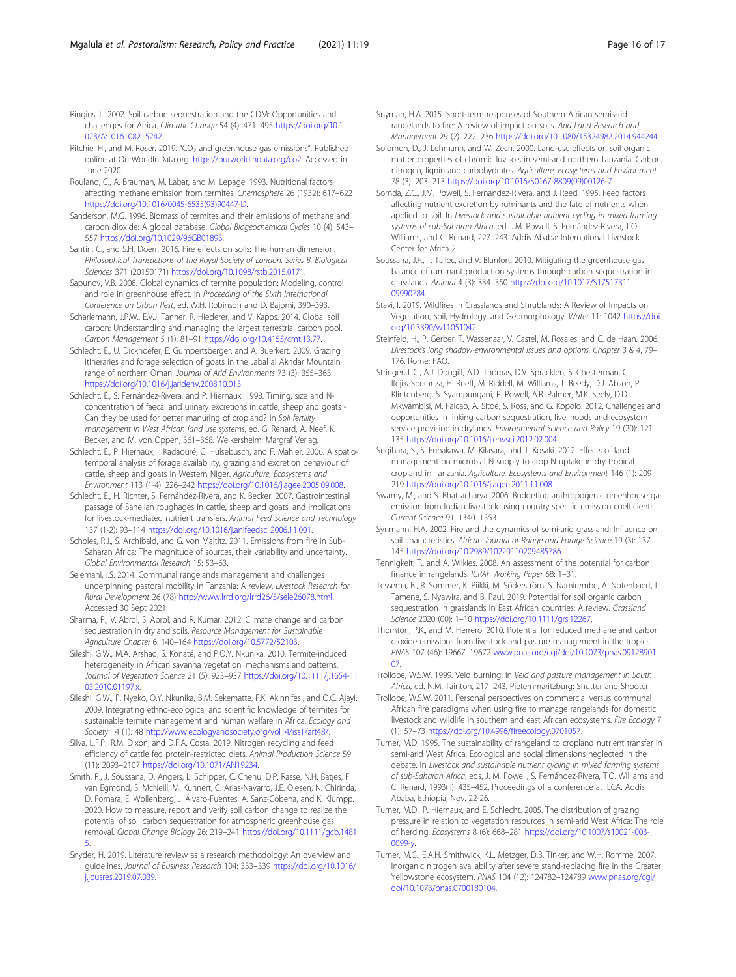<span id="page-15-0"></span>Ringius, L. 2002. Soil carbon sequestration and the CDM: Opportunities and challenges for Africa. Climatic Change 54 (4): 471–495 [https://doi.org/10.1](https://doi.org/10.1023/A:1016108215242) [023/A:1016108215242](https://doi.org/10.1023/A:1016108215242).

- Ritchie, H., and M. Roser. 2019. "CO<sub>2</sub> and greenhouse gas emissions". Published online at OurWorldInData.org. <https://ourworldindata.org/co2>. Accessed in June 2020.
- Rouland, C., A. Brauman, M. Labat, and M. Lepage. 1993. Nutritional factors affecting methane emission from termites. Chemosphere 26 (1932): 617–622 [https://doi.org/10.1016/0045-6535\(93\)90447-D.](https://doi.org/10.1016/0045-6535(93)90447-D)
- Sanderson, M.G. 1996. Biomass of termites and their emissions of methane and carbon dioxide: A global database. Global Biogeochemical Cycles 10 (4): 543– 557 <https://doi.org/10.1029/96GB01893>.
- Santín, C., and S.H. Doerr. 2016. Fire effects on soils: The human dimension. Philosophical Transactions of the Royal Society of London. Series B, Biological Sciences 371 (20150171) <https://doi.org/10.1098/rstb.2015.0171>.
- Sapunov, V.B. 2008. Global dynamics of termite population: Modeling, control and role in greenhouse effect. In Proceeding of the Sixth International Conference on Urban Pest, ed. W.H. Robinson and D. Bajomi, 390–393.
- Scharlemann, J.P.W., E.V.J. Tanner, R. Hiederer, and V. Kapos. 2014. Global soil carbon: Understanding and managing the largest terrestrial carbon pool. Carbon Management 5 (1): 81–91 [https://doi.org/10.4155/cmt.13.77.](https://doi.org/10.4155/cmt.13.77)
- Schlecht, E., U. Dickhoefer, E. Gumpertsberger, and A. Buerkert. 2009. Grazing itineraries and forage selection of goats in the Jabal al Akhdar Mountain range of northern Oman. Journal of Arid Environments 73 (3): 355–363 <https://doi.org/10.1016/j.jaridenv.2008.10.013>.
- Schlecht, E., S. Fernández-Rivera, and P. Hiernaux. 1998. Timing, size and Nconcentration of faecal and urinary excretions in cattle, sheep and goats - Can they be used for better manuring of cropland? In Soil fertility management in West African land use systems, ed. G. Renard, A. Neef, K. Becker, and M. von Oppen, 361–368. Weikersheim: Margraf Verlag.
- Schlecht, E., P. Hiernaux, I. Kadaouré, C. Hülsebusch, and F. Mahler. 2006. A spatiotemporal analysis of forage availability, grazing and excretion behaviour of cattle, sheep and goats in Western Niger. Agriculture, Ecosystems and Environment 113 (1-4): 226–242 <https://doi.org/10.1016/j.agee.2005.09.008>.
- Schlecht, E., H. Richter, S. Fernández-Rivera, and K. Becker. 2007. Gastrointestinal passage of Sahelian roughages in cattle, sheep and goats, and implications for livestock-mediated nutrient transfers. Animal Feed Science and Technology 137 (1-2): 93–114 <https://doi.org/10.1016/j.anifeedsci.2006.11.001>.
- Scholes, R.J., S. Archibald, and G. von Maltitz. 2011. Emissions from fire in Sub-Saharan Africa: The magnitude of sources, their variability and uncertainty. Global Environmental Research 15: 53–63.
- Selemani, I.S. 2014. Communal rangelands management and challenges underpinning pastoral mobility in Tanzania: A review. Livestock Research for Rural Development 26 (78) <http://www.lrrd.org/lrrd26/5/sele26078.html>. Accessed 30 Sept 2021.
- Sharma, P., V. Abrol, S. Abrol, and R. Kumar. 2012. Climate change and carbon sequestration in dryland soils. Resource Management for Sustainable Agriculture Chapter 6: 140–164 <https://doi.org/10.5772/52103>.
- Sileshi, G.W., M.A. Arshad, S. Konaté, and P.O.Y. Nkunika. 2010. Termite-induced heterogeneity in African savanna vegetation: mechanisms and patterns. Journal of Vegetation Science 21 (5): 923–937 [https://doi.org/10.1111/j.1654-11](https://doi.org/10.1111/j.1654-1103.2010.01197.x) [03.2010.01197.x.](https://doi.org/10.1111/j.1654-1103.2010.01197.x)
- Sileshi, G.W., P. Nyeko, O.Y. Nkunika, B.M. Sekematte, F.K. Akinnifesi, and O.C. Ajayi. 2009. Integrating ethno-ecological and scientific knowledge of termites for sustainable termite management and human welfare in Africa. Ecology and Society 14 (1): 48 <http://www.ecologyandsociety.org/vol14/iss1/art48/>.
- Silva, L.F.P., R.M. Dixon, and D.F.A. Costa. 2019. Nitrogen recycling and feed efficiency of cattle fed protein-restricted diets. Animal Production Science 59 (11): 2093–2107 [https://doi.org/10.1071/AN19234.](https://doi.org/10.1071/AN19234)
- Smith, P., J. Soussana, D. Angers, L. Schipper, C. Chenu, D.P. Rasse, N.H. Batjes, F. van Egmond, S. McNeill, M. Kuhnert, C. Arias-Navarro, J.E. Olesen, N. Chirinda, D. Fornara, E. Wollenberg, J. Álvaro-Fuentes, A. Sanz-Cobena, and K. Klumpp. 2020. How to measure, report and verify soil carbon change to realize the potential of soil carbon sequestration for atmospheric greenhouse gas removal. Global Change Biology 26: 219–241 [https://doi.org/10.1111/gcb.1481](https://doi.org/10.1111/gcb.14815) [5](https://doi.org/10.1111/gcb.14815).
- Snyder, H. 2019. Literature review as a research methodology: An overview and guidelines. Journal of Business Research 104: 333–339 [https://doi.org/10.1016/](https://doi.org/10.1016/j.jbusres.2019.07.039) i.jbusres.2019.07.039
- Snyman, H.A. 2015. Short-term responses of Southern African semi-arid rangelands to fire: A review of impact on soils. Arid Land Research and Management 29 (2): 222–236 <https://doi.org/10.1080/15324982.2014.944244>.
- Solomon, D., J. Lehmann, and W. Zech. 2000. Land-use effects on soil organic matter properties of chromic luvisols in semi-arid northern Tanzania: Carbon, nitrogen, lignin and carbohydrates. Agriculture, Ecosystems and Environment 78 (3): 203–213 [https://doi.org/10.1016/S0167-8809\(99\)00126-7](https://doi.org/10.1016/S0167-8809(99)00126-7).
- Somda, Z.C., J.M. Powell, S. Fernández-Rivera, and J. Reed. 1995. Feed factors affecting nutrient excretion by ruminants and the fate of nutrients when applied to soil. In Livestock and sustainable nutrient cycling in mixed farming systems of sub-Saharan Africa, ed. J.M. Powell, S. Fernández-Rivera, T.O. Williams, and C. Renard, 227–243. Addis Ababa: International Livestock Center for Africa 2.
- Soussana, J.F., T. Tallec, and V. Blanfort. 2010. Mitigating the greenhouse gas balance of ruminant production systems through carbon sequestration in grasslands. Animal 4 (3): 334–350 [https://doi.org/10.1017/S17517311](https://doi.org/10.1017/S1751731109990784) [09990784](https://doi.org/10.1017/S1751731109990784).
- Stavi, I. 2019. Wildfires in Grasslands and Shrublands: A Review of Impacts on Vegetation, Soil, Hydrology, and Geomorphology. Water 11: 1042 [https://doi.](https://doi.org/10.3390/w11051042) [org/10.3390/w11051042](https://doi.org/10.3390/w11051042).
- Steinfeld, H., P. Gerber, T. Wassenaar, V. Castel, M. Rosales, and C. de Haan. 2006. Livestock's long shadow-environmental issues and options, Chapter 3 & 4, 79– 176. Rome: FAO.
- Stringer, L.C., A.J. Dougill, A.D. Thomas, D.V. Spracklen, S. Chesterman, C. IfejikaSperanza, H. Rueff, M. Riddell, M. Williams, T. Beedy, D.J. Abson, P. Klintenberg, S. Syampungani, P. Powell, A.R. Palmer, M.K. Seely, D.D. Mkwambisi, M. Falcao, A. Sitoe, S. Ross, and G. Kopolo. 2012. Challenges and opportunities in linking carbon sequestration, livelihoods and ecosystem service provision in drylands. Environmental Science and Policy 19 (20): 121-135 [https://doi.org/10.1016/j.envsci.2012.02.004.](https://doi.org/10.1016/j.envsci.2012.02.004)
- Sugihara, S., S. Funakawa, M. Kilasara, and T. Kosaki. 2012. Effects of land management on microbial N supply to crop N uptake in dry tropical cropland in Tanzania. Agriculture, Ecosystems and Environment 146 (1): 209– 219 <https://doi.org/10.1016/j.agee.2011.11.008>.
- Swamy, M., and S. Bhattacharya. 2006. Budgeting anthropogenic greenhouse gas emission from Indian livestock using country specific emission coefficients. Current Science 91: 1340–1353.
- Synmann, H.A. 2002. Fire and the dynamics of semi-arid grassland: Influence on soil characteristics. African Journal of Range and Forage Science 19 (3): 137-145 <https://doi.org/10.2989/10220110209485786>.
- Tennigkeit, T., and A. Wilkies. 2008. An assessment of the potential for carbon finance in rangelands. ICRAF Working Paper 68: 1–31.
- Tessema, B., R. Sommer, K. Piikki, M. Söderström, S. Namirembe, A. Notenbaert, L. Tamene, S. Nyawira, and B. Paul. 2019. Potential for soil organic carbon sequestration in grasslands in East African countries: A review. Grassland Science 2020 (00): 1–10 <https://doi.org/10.1111/grs.12267>.
- Thornton, P.K., and M. Herrero. 2010. Potential for reduced methane and carbon dioxide emissions from livestock and pasture management in the tropics. PNAS 107 (46): 19667–19672 [www.pnas.org/cgi/doi/10.1073/pnas.09128901](http://www.pnas.org/cgi/doi/10.1073/pnas.0912890107) [07.](http://www.pnas.org/cgi/doi/10.1073/pnas.0912890107)
- Trollope, W.S.W. 1999. Veld burning. In Veld and pasture management in South Africa, ed. N.M. Tainton, 217–243. Pieternmaritzburg: Shutter and Shooter.
- Trollope, W.S.W. 2011. Personal perspectives on commercial versus communal African fire paradigms when using fire to manage rangelands for domestic livestock and wildlife in southern and east African ecosystems. Fire Ecology 7 (1): 57–73 <https://doi.org/10.4996/fireecology.0701057>.
- Turner, M.D. 1995. The sustainability of rangeland to cropland nutrient transfer in semi-arid West Africa: Ecological and social dimensions neglected in the debate. In Livestock and sustainable nutrient cycling in mixed farming systems of sub-Saharan Africa, eds, J. M. Powell, S. Fernández-Rivera, T.O. Williams and C. Renard, 1993(II): 435–452, Proceedings of a conference at ILCA. Addis Ababa, Ethiopia, Nov. 22-26.
- Turner, M.D., P. Hiernaux, and E. Schlecht. 2005. The distribution of grazing pressure in relation to vegetation resources in semi-arid West Africa: The role of herding. Ecosystems 8 (6): 668–281 [https://doi.org/10.1007/s10021-003-](https://doi.org/10.1007/s10021-003-0099-y) [0099-y.](https://doi.org/10.1007/s10021-003-0099-y)
- Turner, M.G., E.A.H. Smithwick, K.L. Metzger, D.B. Tinker, and W.H. Romme. 2007. Inorganic nitrogen availability after severe stand-replacing fire in the Greater Yellowstone ecosystem. PNAS 104 (12): 124782–124789 [www.pnas.org/cgi/](http://www.pnas.org/cgi/doi/10.1073/pnas.0700180104) [doi/10.1073/pnas.0700180104](http://www.pnas.org/cgi/doi/10.1073/pnas.0700180104).